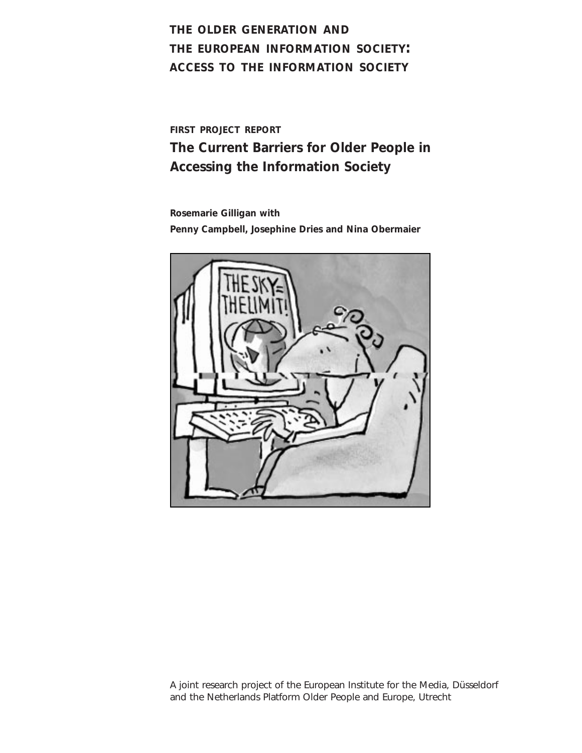# **THE OLDER GENERATION AND THE EUROPEAN INFORMATION SOCIETY: ACCESS TO THE INFORMATION SOCIETY**

**FIRST PROJECT REPORT**

**The Current Barriers for Older People in Accessing the Information Society**

**Rosemarie Gilligan with Penny Campbell, Josephine Dries and Nina Obermaier** 



A joint research project of the European Institute for the Media, Düsseldorf and the Netherlands Platform Older People and Europe, Utrecht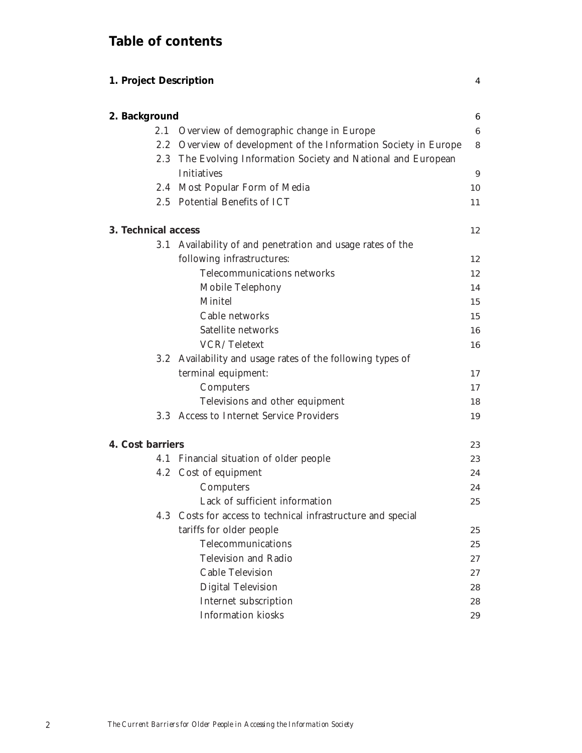# **Table of contents**

| 1. Project Description |                                                                  | 4  |
|------------------------|------------------------------------------------------------------|----|
| 2. Background          |                                                                  | 6  |
|                        | 2.1 Overview of demographic change in Europe                     | 6  |
|                        | 2.2 Overview of development of the Information Society in Europe | 8  |
|                        | 2.3 The Evolving Information Society and National and European   |    |
|                        | <b>Initiatives</b>                                               | 9  |
|                        | 2.4 Most Popular Form of Media                                   | 10 |
|                        | 2.5 Potential Benefits of ICT                                    | 11 |
| 3. Technical access    |                                                                  | 12 |
|                        | 3.1 Availability of and penetration and usage rates of the       |    |
|                        | following infrastructures:                                       | 12 |
|                        | Telecommunications networks                                      | 12 |
|                        | Mobile Telephony                                                 | 14 |
|                        | Minitel                                                          | 15 |
|                        | Cable networks                                                   | 15 |
|                        | Satellite networks                                               | 16 |
|                        | VCR/Teletext                                                     | 16 |
|                        | 3.2 Availability and usage rates of the following types of       |    |
|                        | terminal equipment:                                              | 17 |
|                        | Computers                                                        | 17 |
|                        | Televisions and other equipment                                  | 18 |
|                        | 3.3 Access to Internet Service Providers                         | 19 |
| 4. Cost barriers       |                                                                  | 23 |
|                        | 4.1 Financial situation of older people                          | 23 |
|                        | 4.2 Cost of equipment                                            | 24 |
|                        | Computers                                                        | 24 |
|                        | Lack of sufficient information                                   | 25 |
|                        | 4.3 Costs for access to technical infrastructure and special     |    |
|                        | tariffs for older people                                         | 25 |
|                        | Telecommunications                                               | 25 |
|                        | Television and Radio                                             | 27 |
|                        | Cable Television                                                 | 27 |
|                        | <b>Digital Television</b>                                        | 28 |
|                        | Internet subscription                                            | 28 |
|                        | <b>Information</b> kiosks                                        | 29 |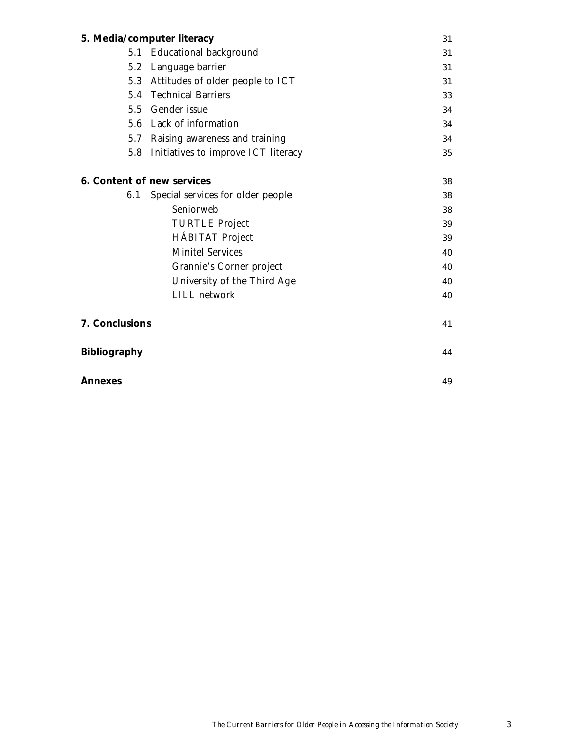|                     | 5. Media/computer literacy              | 31 |
|---------------------|-----------------------------------------|----|
| 5.1                 | <b>Educational background</b>           | 31 |
|                     | 5.2 Language barrier                    | 31 |
| 5.3                 | Attitudes of older people to ICT        | 31 |
|                     | 5.4 Technical Barriers                  | 33 |
|                     | 5.5 Gender issue                        | 34 |
|                     | 5.6 Lack of information                 | 34 |
|                     | 5.7 Raising awareness and training      | 34 |
|                     | 5.8 Initiatives to improve ICT literacy | 35 |
|                     |                                         |    |
|                     | 6. Content of new services              | 38 |
| 6.1                 | Special services for older people       | 38 |
|                     | Seniorweb                               | 38 |
|                     | <b>TURTLE Project</b>                   | 39 |
|                     | <b>HÁBITAT Project</b>                  | 39 |
|                     | <b>Minitel Services</b>                 | 40 |
|                     | Grannie's Corner project                | 40 |
|                     | University of the Third Age             | 40 |
|                     | LILL network                            | 40 |
| 7. Conclusions      |                                         | 41 |
| <b>Bibliography</b> |                                         | 44 |
| Annexes             |                                         | 49 |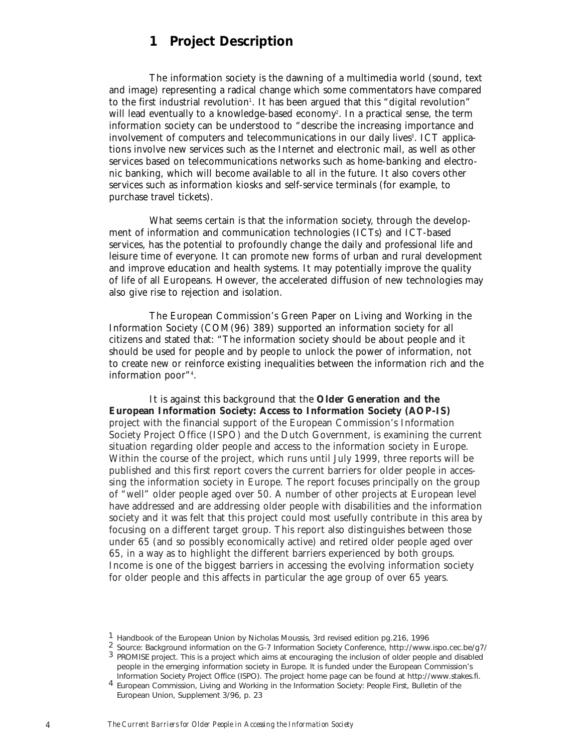# **1 Project Description**

The information society is the dawning of a multimedia world (sound, text and image) representing a radical change which some commentators have compared to the first industrial revolution'. It has been argued that this "digital revolution" will lead eventually to a knowledge-based economy<sup>2</sup>. In a practical sense, the term information society can be understood to "describe the increasing importance and involvement of computers and telecommunications in our daily lives<sup>3</sup>. ICT applications involve new services such as the Internet and electronic mail, as well as other services based on telecommunications networks such as home-banking and electronic banking, which will become available to all in the future. It also covers other services such as information kiosks and self-service terminals (for example, to purchase travel tickets).

What seems certain is that the information society, through the development of information and communication technologies (ICTs) and ICT-based services, has the potential to profoundly change the daily and professional life and leisure time of everyone. It can promote new forms of urban and rural development and improve education and health systems. It may potentially improve the quality of life of all Europeans. However, the accelerated diffusion of new technologies may also give rise to rejection and isolation.

The European Commission's Green Paper on Living and Working in the Information Society (COM(96) 389) supported an information society for all citizens and stated that: "The information society should be about people and it should be used for people and by people to unlock the power of information, not to create new or reinforce existing inequalities between the information rich and the information poor"4 .

It is against this background that the **Older Generation and the European Information Society: Access to Information Society (AOP-IS)** project with the financial support of the European Commission's Information Society Project Office (ISPO) and the Dutch Government, is examining the current situation regarding older people and access to the information society in Europe. Within the course of the project, which runs until July 1999, three reports will be published and this first report covers the current barriers for older people in accessing the information society in Europe. The report focuses principally on the group of "well" older people aged over 50. A number of other projects at European level have addressed and are addressing older people with disabilities and the information society and it was felt that this project could most usefully contribute in this area by focusing on a different target group. This report also distinguishes between those under 65 (and so possibly economically active) and retired older people aged over 65, in a way as to highlight the different barriers experienced by both groups. Income is one of the biggest barriers in accessing the evolving information society for older people and this affects in particular the age group of over 65 years.

<sup>&</sup>lt;sup>1</sup> Handbook of the European Union by Nicholas Moussis, 3rd revised edition pg. 216, 1996<br><sup>2</sup> Source: Background information on the G-7 Information Society Conference, http://www.ispo.cec.be/g7/<br><sup>3</sup> PROMISE project. This people in the emerging information society in Europe. It is funded under the European Commission's<br>Information Society Project Office (ISPO). The project home page can be found at http://www.stakes.fi.

<sup>&</sup>lt;sup>4</sup> European Commission, Living and Working in the Information Society: People First, Bulletin of the European Union, Supplement 3/96, p. 23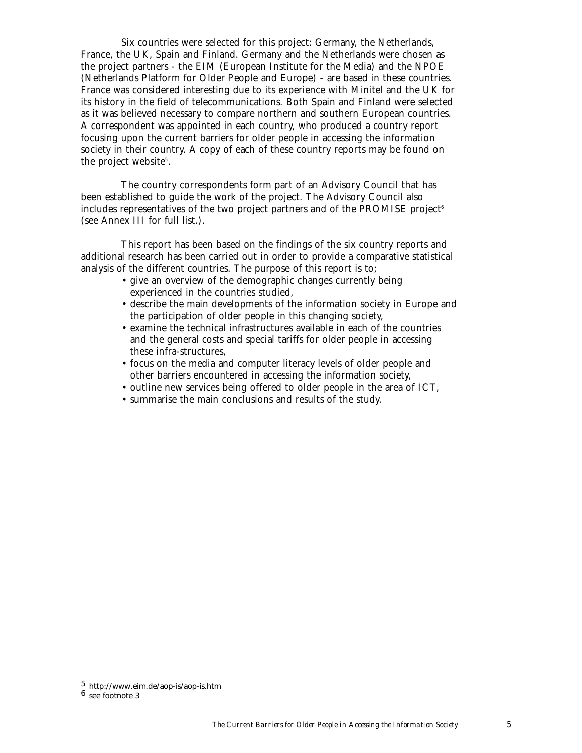Six countries were selected for this project: Germany, the Netherlands, France, the UK, Spain and Finland. Germany and the Netherlands were chosen as the project partners - the EIM (European Institute for the Media) and the NPOE (Netherlands Platform for Older People and Europe) - are based in these countries. France was considered interesting due to its experience with Minitel and the UK for its history in the field of telecommunications. Both Spain and Finland were selected as it was believed necessary to compare northern and southern European countries. A correspondent was appointed in each country, who produced a country report focusing upon the current barriers for older people in accessing the information society in their country. A copy of each of these country reports may be found on the project website<sup>5</sup>.

The country correspondents form part of an Advisory Council that has been established to guide the work of the project. The Advisory Council also includes representatives of the two project partners and of the PROMISE project<sup>6</sup> (see Annex III for full list.).

This report has been based on the findings of the six country reports and additional research has been carried out in order to provide a comparative statistical analysis of the different countries. The purpose of this report is to;

- give an overview of the demographic changes currently being experienced in the countries studied,
- describe the main developments of the information society in Europe and the participation of older people in this changing society,
- examine the technical infrastructures available in each of the countries and the general costs and special tariffs for older people in accessing these infra-structures,
- focus on the media and computer literacy levels of older people and other barriers encountered in accessing the information society,
- outline new services being offered to older people in the area of ICT,
- summarise the main conclusions and results of the study.

<sup>5</sup> http://www.eim.de/aop-is/aop-is.htm

<sup>6</sup> see footnote 3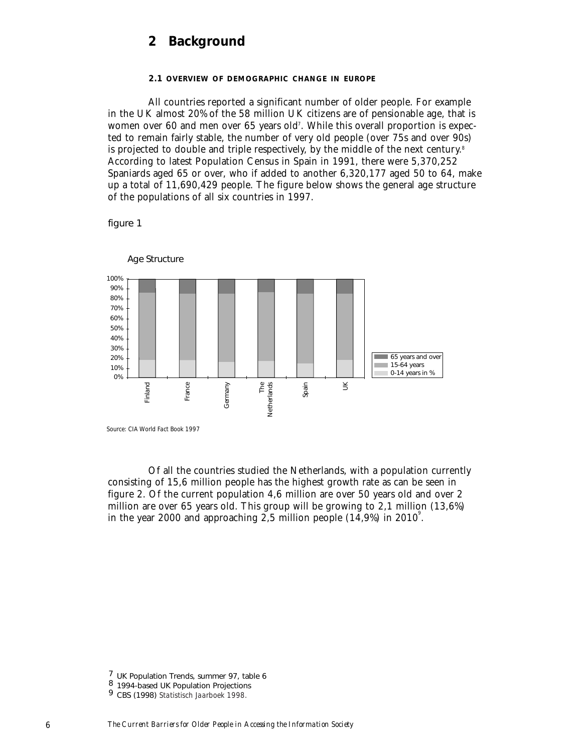# **2 Background**

#### **2.1 OVERVIEW OF DEMOGRAPHIC CHANGE IN EUROPE**

All countries reported a significant number of older people. For example in the UK almost 20% of the 58 million UK citizens are of pensionable age, that is women over 60 and men over 65 years old<sup>7</sup>. While this overall proportion is expected to remain fairly stable, the number of very old people (over 75s and over 90s) is projected to double and triple respectively, by the middle of the next century.<sup>8</sup> According to latest Population Census in Spain in 1991, there were 5,370,252 Spaniards aged 65 or over, who if added to another 6,320,177 aged 50 to 64, make up a total of 11,690,429 people. The figure below shows the general age structure of the populations of all six countries in 1997.

figure 1



Age Structure

*Source: CIA World Fact Book 1997*

Of all the countries studied the Netherlands, with a population currently consisting of 15,6 million people has the highest growth rate as can be seen in figure 2. Of the current population 4,6 million are over 50 years old and over 2 million are over 65 years old. This group will be growing to 2,1 million (13,6%) in the year 2000 and approaching  $2.5$  million people (14,9%) in 2010<sup>°</sup>.

<sup>7</sup> UK Population Trends, summer 97, table 6 <sup>8</sup> 1994-based UK Population Projections <sup>9</sup> CBS (1998) *Statistisch Jaarboek 1998.*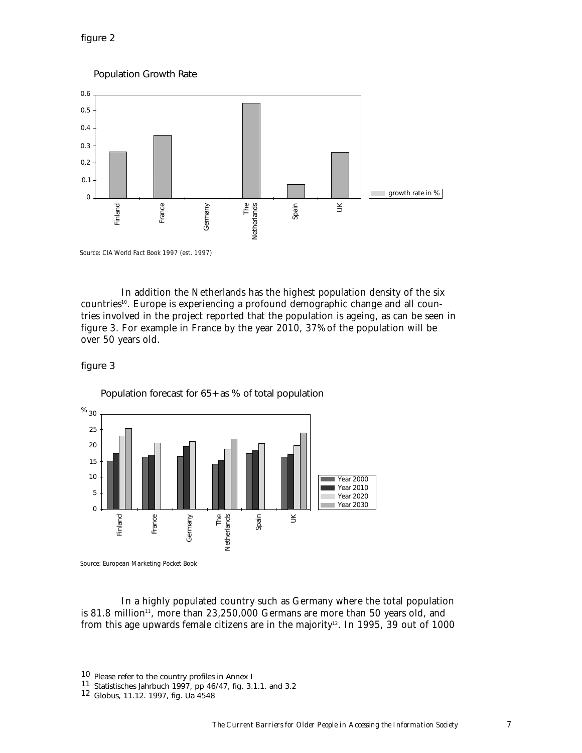figure 2

Population Growth Rate



*Source: CIA World Fact Book 1997 (est. 1997)*

In addition the Netherlands has the highest population density of the six countries<sup>10</sup>. Europe is experiencing a profound demographic change and all countries involved in the project reported that the population is ageing, as can be seen in figure 3. For example in France by the year 2010, 37% of the population will be over 50 years old.

# figure 3



Population forecast for 65+ as % of total population

In a highly populated country such as Germany where the total population

is 81.8 million<sup>11</sup>, more than  $23,250,000$  Germans are more than 50 years old, and from this age upwards female citizens are in the majority<sup>12</sup>. In 1995, 39 out of 1000

<sup>10</sup> Please refer to the country profiles in Annex I <sup>11</sup> Statistisches Jahrbuch 1997, pp 46/47, fig. 3.1.1. and 3.2 <sup>12</sup> Globus, 11.12. 1997, fig. Ua 4548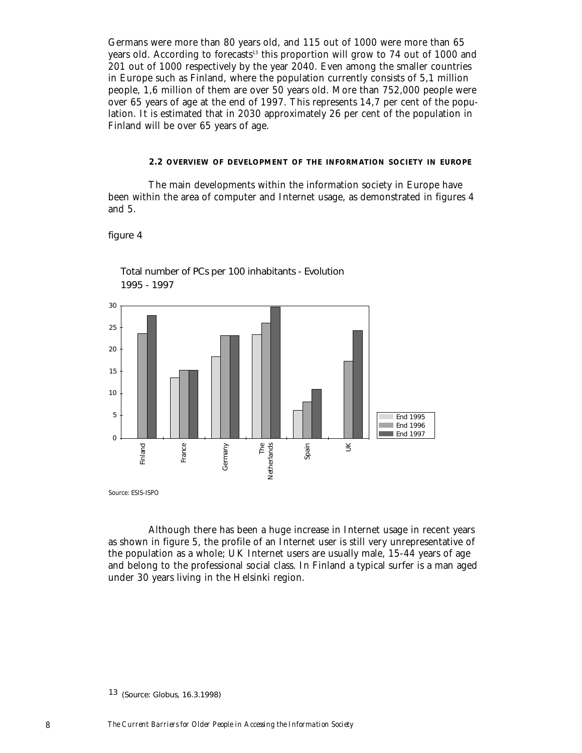Germans were more than 80 years old, and 115 out of 1000 were more than 65 years old. According to forecasts<sup>13</sup> this proportion will grow to 74 out of 1000 and 201 out of 1000 respectively by the year 2040. Even among the smaller countries in Europe such as Finland, where the population currently consists of 5,1 million people, 1,6 million of them are over 50 years old. More than 752,000 people were over 65 years of age at the end of 1997. This represents 14,7 per cent of the population. It is estimated that in 2030 approximately 26 per cent of the population in Finland will be over 65 years of age.

#### **2.2 OVERVIEW OF DEVELOPMENT OF THE INFORMATION SOCIETY IN EUROPE**

The main developments within the information society in Europe have been within the area of computer and Internet usage, as demonstrated in figures 4 and 5.

#### figure 4



Total number of PCs per 100 inhabitants - Evolution 1995 - 1997

Although there has been a huge increase in Internet usage in recent years as shown in figure 5, the profile of an Internet user is still very unrepresentative of the population as a whole; UK Internet users are usually male, 15-44 years of age and belong to the professional social class. In Finland a typical surfer is a man aged under 30 years living in the Helsinki region.

<sup>13</sup> (Source: Globus, 16.3.1998)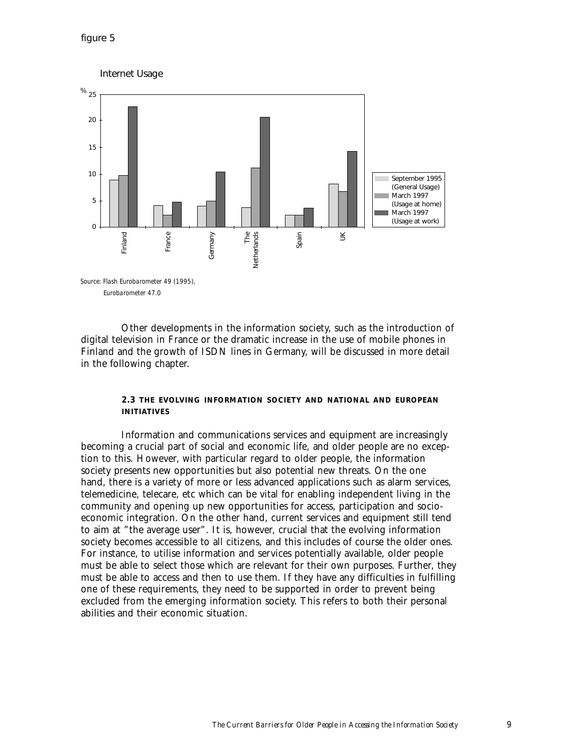

Other developments in the information society, such as the introduction of digital television in France or the dramatic increase in the use of mobile phones in Finland and the growth of ISDN lines in Germany, will be discussed in more detail in the following chapter.

#### **2.3 THE EVOLVING INFORMATION SOCIETY AND NATIONAL AND EUROPEAN INITIATIVES**

Information and communications services and equipment are increasingly becoming a crucial part of social and economic life, and older people are no exception to this. However, with particular regard to older people, the information society presents new opportunities but also potential new threats. On the one hand, there is a variety of more or less advanced applications such as alarm services, telemedicine, telecare, etc which can be vital for enabling independent living in the community and opening up new opportunities for access, participation and socioeconomic integration. On the other hand, current services and equipment still tend to aim at "the average user". It is, however, crucial that the evolving information society becomes accessible to all citizens, and this includes of course the older ones. For instance, to utilise information and services potentially available, older people must be able to select those which are relevant for their own purposes. Further, they must be able to access and then to use them. If they have any difficulties in fulfilling one of these requirements, they need to be supported in order to prevent being excluded from the emerging information society. This refers to both their personal abilities and their economic situation.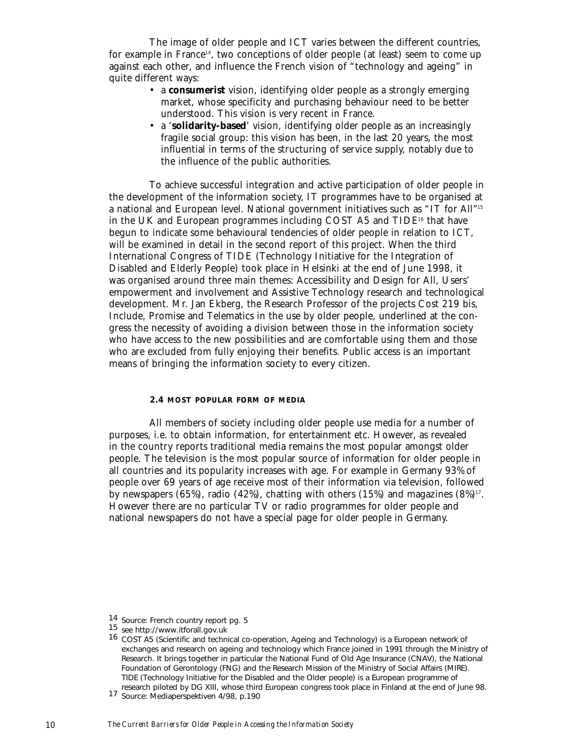The image of older people and ICT varies between the different countries, for example in France<sup>14</sup>, two conceptions of older people (at least) seem to come up against each other, and influence the French vision of "technology and ageing" in quite different ways:

- a **consumerist** vision, identifying older people as a strongly emerging market, whose specificity and purchasing behaviour need to be better understood. This vision is very recent in France.
- a '**solidarity-based**' vision, identifying older people as an increasingly fragile social group: this vision has been, in the last 20 years, the most influential in terms of the structuring of service supply, notably due to the influence of the public authorities.

To achieve successful integration and active participation of older people in the development of the information society, IT programmes have to be organised at a national and European level. National government initiatives such as "IT for All"15 in the UK and European programmes including COST A5 and  $TIDE^{16}$  that have begun to indicate some behavioural tendencies of older people in relation to ICT, will be examined in detail in the second report of this project. When the third International Congress of TIDE (Technology Initiative for the Integration of Disabled and Elderly People) took place in Helsinki at the end of June 1998, it was organised around three main themes: Accessibility and Design for All, Users' empowerment and involvement and Assistive Technology research and technological development. Mr. Jan Ekberg, the Research Professor of the projects Cost 219 bis, Include, Promise and Telematics in the use by older people, underlined at the congress the necessity of avoiding a division between those in the information society who have access to the new possibilities and are comfortable using them and those who are excluded from fully enjoying their benefits. Public access is an important means of bringing the information society to every citizen.

#### **2.4 MOST POPULAR FORM OF MEDIA**

All members of society including older people use media for a number of purposes, i.e. to obtain information, for entertainment etc. However, as revealed in the country reports traditional media remains the most popular amongst older people. The television is the most popular source of information for older people in all countries and its popularity increases with age. For example in Germany 93% of people over 69 years of age receive most of their information via television, followed by newspapers (65%), radio (42%), chatting with others (15%) and magazines  $(8\%)$ <sup>17</sup>. However there are no particular TV or radio programmes for older people and national newspapers do not have a special page for older people in Germany.

<sup>14</sup> Source: French country report pg. 5<br>15 see http://www.itforall.gov.uk<br>16 COST A5 (Scientific and technical co-operation, Ageing and Technology) is a European network of exchanges and research on ageing and technology which France joined in 1991 through the Ministry of Research. It brings together in particular the National Fund of Old Age Insurance (CNAV), the National Foundation of Gerontology (FNG) and the Research Mission of the Ministry of Social Affairs (MIRE). TIDE (Technology Initiative for the Disabled and the Older people) is a European programme of research piloted by DG XIII, whose third European congress took place in Finland at the end of June 98. <sup>17</sup> Source: Mediaperspektiven 4/98, p.190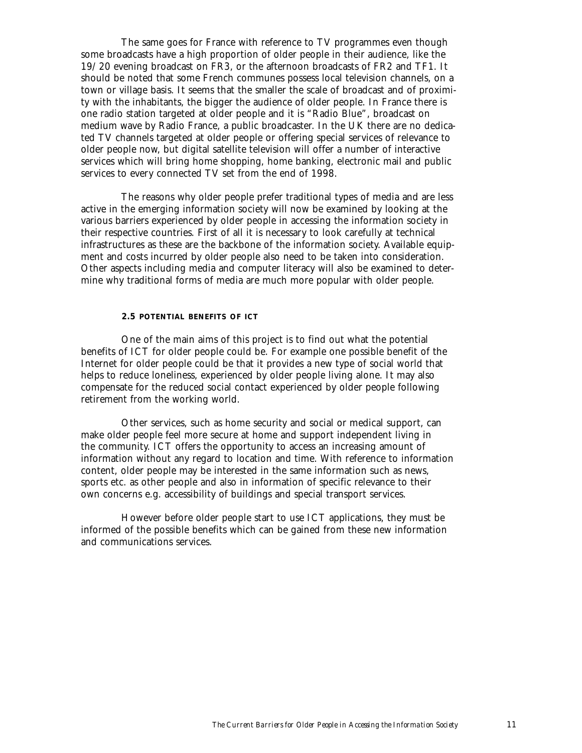The same goes for France with reference to TV programmes even though some broadcasts have a high proportion of older people in their audience, like the 19/20 evening broadcast on FR3, or the afternoon broadcasts of FR2 and TF1. It should be noted that some French communes possess local television channels, on a town or village basis. It seems that the smaller the scale of broadcast and of proximity with the inhabitants, the bigger the audience of older people. In France there is one radio station targeted at older people and it is "Radio Blue", broadcast on medium wave by Radio France, a public broadcaster. In the UK there are no dedicated TV channels targeted at older people or offering special services of relevance to older people now, but digital satellite television will offer a number of interactive services which will bring home shopping, home banking, electronic mail and public services to every connected TV set from the end of 1998.

The reasons why older people prefer traditional types of media and are less active in the emerging information society will now be examined by looking at the various barriers experienced by older people in accessing the information society in their respective countries. First of all it is necessary to look carefully at technical infrastructures as these are the backbone of the information society. Available equipment and costs incurred by older people also need to be taken into consideration. Other aspects including media and computer literacy will also be examined to determine why traditional forms of media are much more popular with older people.

#### **2.5 POTENTIAL BENEFITS OF ICT**

One of the main aims of this project is to find out what the potential benefits of ICT for older people could be. For example one possible benefit of the Internet for older people could be that it provides a new type of social world that helps to reduce loneliness, experienced by older people living alone. It may also compensate for the reduced social contact experienced by older people following retirement from the working world.

Other services, such as home security and social or medical support, can make older people feel more secure at home and support independent living in the community. ICT offers the opportunity to access an increasing amount of information without any regard to location and time. With reference to information content, older people may be interested in the same information such as news, sports etc. as other people and also in information of specific relevance to their own concerns e.g. accessibility of buildings and special transport services.

However before older people start to use ICT applications, they must be informed of the possible benefits which can be gained from these new information and communications services.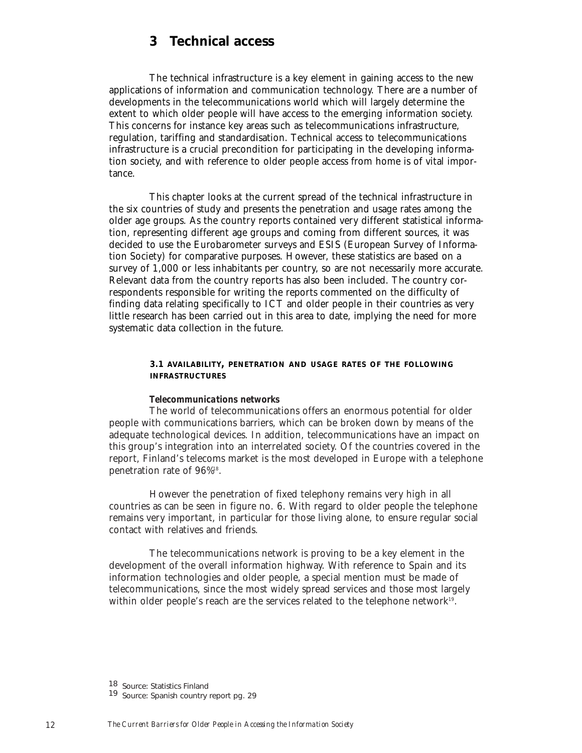# **3 Technical access**

The technical infrastructure is a key element in gaining access to the new applications of information and communication technology. There are a number of developments in the telecommunications world which will largely determine the extent to which older people will have access to the emerging information society. This concerns for instance key areas such as telecommunications infrastructure, regulation, tariffing and standardisation. Technical access to telecommunications infrastructure is a crucial precondition for participating in the developing information society, and with reference to older people access from home is of vital importance.

This chapter looks at the current spread of the technical infrastructure in the six countries of study and presents the penetration and usage rates among the older age groups. As the country reports contained very different statistical information, representing different age groups and coming from different sources, it was decided to use the Eurobarometer surveys and ESIS (European Survey of Information Society) for comparative purposes. However, these statistics are based on a survey of 1,000 or less inhabitants per country, so are not necessarily more accurate. Relevant data from the country reports has also been included. The country correspondents responsible for writing the reports commented on the difficulty of finding data relating specifically to ICT and older people in their countries as very little research has been carried out in this area to date, implying the need for more systematic data collection in the future.

#### **3.1 AVAILABILITY, PENETRATION AND USAGE RATES OF THE FOLLOWING INFRASTRUCTURES**

#### *Telecommunications networks*

The world of telecommunications offers an enormous potential for older people with communications barriers, which can be broken down by means of the adequate technological devices. In addition, telecommunications have an impact on this group's integration into an interrelated society. Of the countries covered in the report, Finland's telecoms market is the most developed in Europe with a telephone penetration rate of 96%18.

However the penetration of fixed telephony remains very high in all countries as can be seen in figure no. 6. With regard to older people the telephone remains very important, in particular for those living alone, to ensure regular social contact with relatives and friends.

The telecommunications network is proving to be a key element in the development of the overall information highway. With reference to Spain and its information technologies and older people, a special mention must be made of telecommunications, since the most widely spread services and those most largely within older people's reach are the services related to the telephone network<sup>19</sup>.

<sup>18</sup> Source: Statistics Finland

<sup>19</sup> Source: Spanish country report pg. 29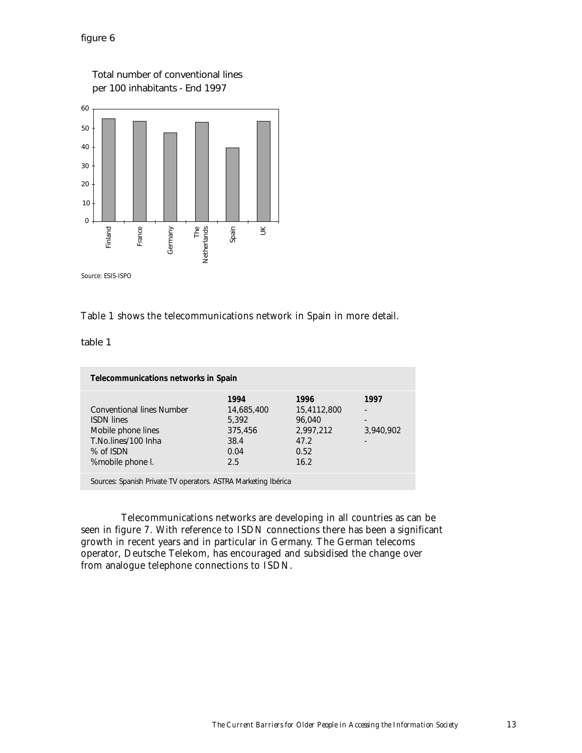

Total number of conventional lines

# Table 1 shows the telecommunications network in Spain in more detail.

table 1

| Telecommunications networks in Spain                               |            |             |                          |
|--------------------------------------------------------------------|------------|-------------|--------------------------|
|                                                                    | 1994       | 1996        | 1997                     |
| <b>Conventional lines Number</b>                                   | 14,685,400 | 15,4112,800 | $\overline{\phantom{a}}$ |
| <b>ISDN lines</b>                                                  | 5,392      | 96.040      | $\overline{\phantom{a}}$ |
| Mobile phone lines                                                 | 375,456    | 2,997,212   | 3,940,902                |
| T.No.lines/100 Inha                                                | 38.4       | 47.2        |                          |
| % of ISDN                                                          | 0.04       | 0.52        |                          |
| %mobile phone I.                                                   | 2.5        | 16.2        |                          |
| Corporate Consider Departs TV proposition ACTDA Montation Inductor |            |             |                          |

Sources: Spanish Private TV operators. ASTRA Marketing Ibérica

Telecommunications networks are developing in all countries as can be seen in figure 7. With reference to ISDN connections there has been a significant growth in recent years and in particular in Germany. The German telecoms operator, Deutsche Telekom, has encouraged and subsidised the change over from analogue telephone connections to ISDN.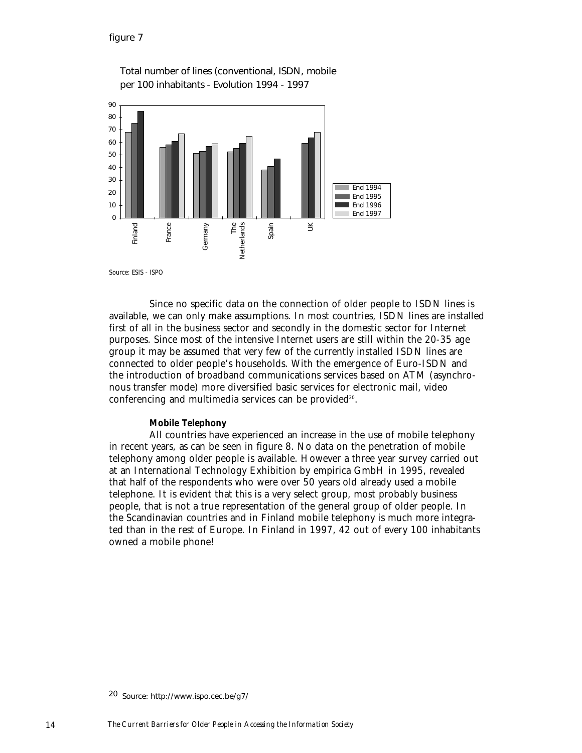

Total number of lines (conventional, ISDN, mobile per 100 inhabitants - Evolution 1994 - 1997

Since no specific data on the connection of older people to ISDN lines is available, we can only make assumptions. In most countries, ISDN lines are installed first of all in the business sector and secondly in the domestic sector for Internet purposes. Since most of the intensive Internet users are still within the 20-35 age group it may be assumed that very few of the currently installed ISDN lines are connected to older people's households. With the emergence of Euro-ISDN and the introduction of broadband communications services based on ATM (asynchronous transfer mode) more diversified basic services for electronic mail, video conferencing and multimedia services can be provided<sup>20</sup>.

### *Mobile Telephony*

All countries have experienced an increase in the use of mobile telephony in recent years, as can be seen in figure 8. No data on the penetration of mobile telephony among older people is available. However a three year survey carried out at an International Technology Exhibition by empirica GmbH in 1995, revealed that half of the respondents who were over 50 years old already used a mobile telephone. It is evident that this is a very select group, most probably business people, that is not a true representation of the general group of older people. In the Scandinavian countries and in Finland mobile telephony is much more integrated than in the rest of Europe. In Finland in 1997, 42 out of every 100 inhabitants owned a mobile phone!

<sup>20</sup> Source: http://www.ispo.cec.be/g7/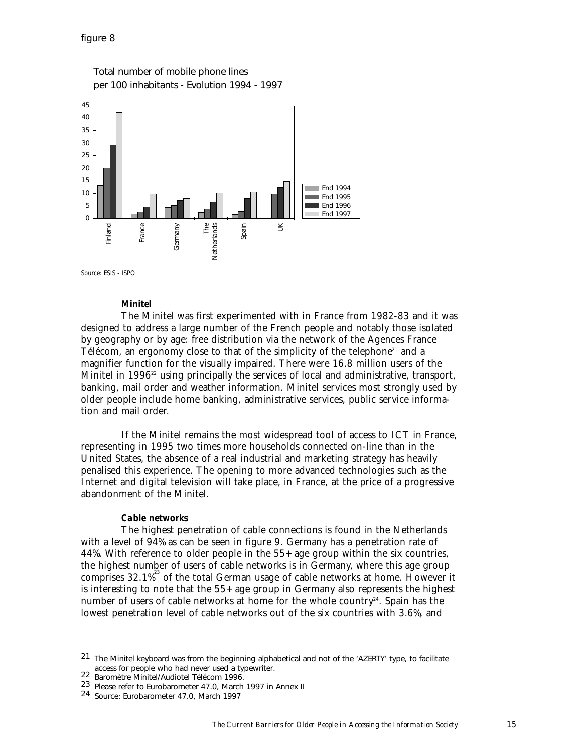

Total number of mobile phone lines per 100 inhabitants - Evolution 1994 - 1997

#### *Minitel*

The Minitel was first experimented with in France from 1982-83 and it was designed to address a large number of the French people and notably those isolated by geography or by age: free distribution via the network of the Agences France Télécom, an ergonomy close to that of the simplicity of the telephone<sup>21</sup> and a magnifier function for the visually impaired. There were 16.8 million users of the Minitel in 1996<sup>22</sup> using principally the services of local and administrative, transport, banking, mail order and weather information. Minitel services most strongly used by older people include home banking, administrative services, public service information and mail order.

If the Minitel remains the most widespread tool of access to ICT in France, representing in 1995 two times more households connected on-line than in the United States, the absence of a real industrial and marketing strategy has heavily penalised this experience. The opening to more advanced technologies such as the Internet and digital television will take place, in France, at the price of a progressive abandonment of the Minitel.

#### *Cable networks*

The highest penetration of cable connections is found in the Netherlands with a level of 94% as can be seen in figure 9. Germany has a penetration rate of 44%. With reference to older people in the 55+ age group within the six countries, the highest number of users of cable networks is in Germany, where this age group comprises  $32.1\%$ <sup>23</sup> of the total German usage of cable networks at home. However it is interesting to note that the 55+ age group in Germany also represents the highest number of users of cable networks at home for the whole country<sup>24</sup>. Spain has the lowest penetration level of cable networks out of the six countries with 3.6%, and

<sup>21</sup> The Minitel keyboard was from the beginning alphabetical and not of the 'AZERTY' type, to facilitate access for people who had never used a typewriter. <sup>22</sup> Baromètre Minitel/Audiotel Télécom 1996.

<sup>23</sup> Please refer to Eurobarometer 47.0, March 1997 in Annex II

<sup>24</sup> Source: Eurobarometer 47.0, March 1997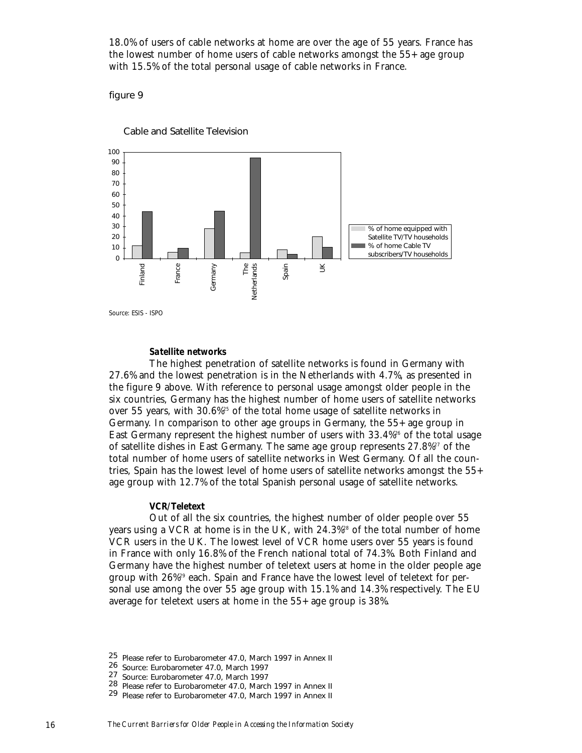18.0% of users of cable networks at home are over the age of 55 years. France has the lowest number of home users of cable networks amongst the 55+ age group with 15.5% of the total personal usage of cable networks in France.

figure 9



Cable and Satellite Television

### *Satellite networks*

The highest penetration of satellite networks is found in Germany with 27.6% and the lowest penetration is in the Netherlands with 4.7%, as presented in the figure 9 above. With reference to personal usage amongst older people in the six countries, Germany has the highest number of home users of satellite networks over 55 years, with 30.6%25 of the total home usage of satellite networks in Germany. In comparison to other age groups in Germany, the 55+ age group in East Germany represent the highest number of users with  $33.4\%$ <sup>26</sup> of the total usage of satellite dishes in East Germany. The same age group represents 27.8%27 of the total number of home users of satellite networks in West Germany. Of all the countries, Spain has the lowest level of home users of satellite networks amongst the 55+ age group with 12.7% of the total Spanish personal usage of satellite networks.

#### *VCR/Teletext*

Out of all the six countries, the highest number of older people over 55 years using a VCR at home is in the UK, with  $24.3\%$ <sup>28</sup> of the total number of home VCR users in the UK. The lowest level of VCR home users over 55 years is found in France with only 16.8% of the French national total of 74.3%. Both Finland and Germany have the highest number of teletext users at home in the older people age group with 26%29 each. Spain and France have the lowest level of teletext for personal use among the over 55 age group with 15.1% and 14.3% respectively. The EU average for teletext users at home in the 55+ age group is 38%.

<sup>25</sup> Please refer to Eurobarometer 47.0, March 1997 in Annex II

<sup>26</sup> Source: Eurobarometer 47.0, March 1997

<sup>27</sup> Source: Eurobarometer 47.0, March 1997

<sup>28</sup> Please refer to Eurobarometer 47.0, March 1997 in Annex II

<sup>29</sup> Please refer to Eurobarometer 47.0, March 1997 in Annex II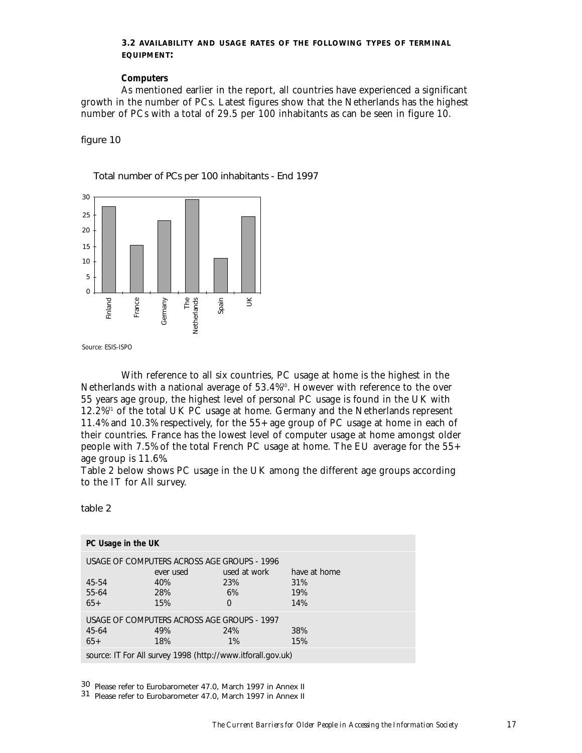### **3.2 AVAILABILITY AND USAGE RATES OF THE FOLLOWING TYPES OF TERMINAL EQUIPMENT:**

#### *Computers*

As mentioned earlier in the report, all countries have experienced a significant growth in the number of PCs. Latest figures show that the Netherlands has the highest number of PCs with a total of 29.5 per 100 inhabitants as can be seen in figure 10.

figure 10

Total number of PCs per 100 inhabitants - End 1997



With reference to all six countries, PC usage at home is the highest in the Netherlands with a national average of 53.4%<sup>30</sup>. However with reference to the over 55 years age group, the highest level of personal PC usage is found in the UK with 12.2%31 of the total UK PC usage at home. Germany and the Netherlands represent 11.4% and 10.3% respectively, for the 55+ age group of PC usage at home in each of their countries. France has the lowest level of computer usage at home amongst older people with 7.5% of the total French PC usage at home. The EU average for the 55+ age group is 11.6%.

Table 2 below shows PC usage in the UK among the different age groups according to the IT for All survey.

table 2

| PC Usage in the UK |                                                             |              |              |  |  |  |
|--------------------|-------------------------------------------------------------|--------------|--------------|--|--|--|
|                    | USAGE OF COMPUTERS ACROSS AGE GROUPS - 1996<br>ever used    | used at work | have at home |  |  |  |
| 45-54              | 40%                                                         | 23%          | 31%          |  |  |  |
| 55-64              | 28%                                                         | 6%           | 19%          |  |  |  |
| $65+$              | 15%                                                         | $\Omega$     | 14%          |  |  |  |
|                    | USAGE OF COMPUTERS ACROSS AGE GROUPS - 1997                 |              |              |  |  |  |
| 45-64              | 49%                                                         | 24%          | 38%          |  |  |  |
| $65+$              | 18%                                                         | $1\%$        | 15%          |  |  |  |
|                    | source: IT For All survey 1998 (http://www.itforall.gov.uk) |              |              |  |  |  |

30 Please refer to Eurobarometer 47.0, March 1997 in Annex II

31 Please refer to Eurobarometer 47.0, March 1997 in Annex II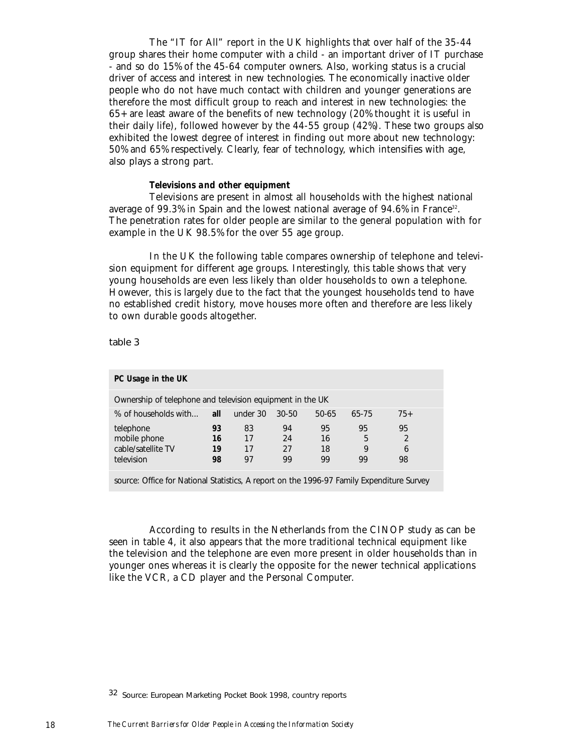The "IT for All" report in the UK highlights that over half of the 35-44 group shares their home computer with a child - an important driver of IT purchase - and so do 15% of the 45-64 computer owners. Also, working status is a crucial driver of access and interest in new technologies. The economically inactive older people who do not have much contact with children and younger generations are therefore the most difficult group to reach and interest in new technologies: the 65+ are least aware of the benefits of new technology (20% thought it is useful in their daily life), followed however by the 44-55 group (42%). These two groups also exhibited the lowest degree of interest in finding out more about new technology: 50% and 65% respectively. Clearly, fear of technology, which intensifies with age, also plays a strong part.

#### *Televisions and other equipment*

Televisions are present in almost all households with the highest national average of 99.3% in Spain and the lowest national average of 94.6% in France<sup>32</sup>. The penetration rates for older people are similar to the general population with for example in the UK 98.5% for the over 55 age group.

In the UK the following table compares ownership of telephone and television equipment for different age groups. Interestingly, this table shows that very young households are even less likely than older households to own a telephone. However, this is largely due to the fact that the youngest households tend to have no established credit history, move houses more often and therefore are less likely to own durable goods altogether.

table 3

| PC Usage in the UK                                            |                      |                      |                      |                      |                    |                                 |  |
|---------------------------------------------------------------|----------------------|----------------------|----------------------|----------------------|--------------------|---------------------------------|--|
| Ownership of telephone and television equipment in the UK     |                      |                      |                      |                      |                    |                                 |  |
| % of households with                                          | all                  | under 30             | 30-50                | 50-65                | 65-75              | $75+$                           |  |
| telephone<br>mobile phone<br>cable/satellite TV<br>television | 93<br>16<br>19<br>98 | 83<br>17<br>17<br>97 | 94<br>24<br>27<br>99 | 95<br>16<br>18<br>99 | 95<br>5<br>9<br>99 | 95<br>$\mathfrak{D}$<br>6<br>98 |  |

source: Office for National Statistics, A report on the 1996-97 Family Expenditure Survey

According to results in the Netherlands from the CINOP study as can be seen in table 4, it also appears that the more traditional technical equipment like the television and the telephone are even more present in older households than in younger ones whereas it is clearly the opposite for the newer technical applications like the VCR, a CD player and the Personal Computer.

<sup>32</sup> Source: European Marketing Pocket Book 1998, country reports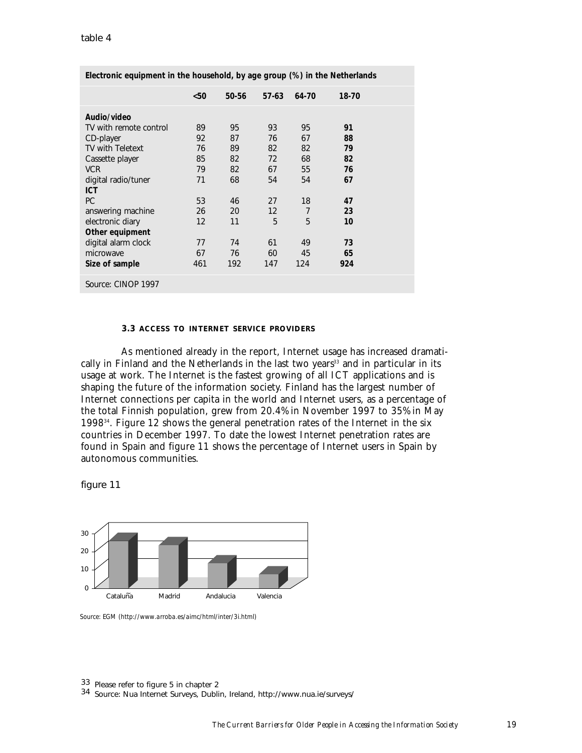|                         | $50$ | 50-56 | $57-63$ | 64-70          | 18-70 |  |
|-------------------------|------|-------|---------|----------------|-------|--|
| Audio/video             |      |       |         |                |       |  |
| TV with remote control  | 89   | 95    | 93      | 95             | 91    |  |
| CD-player               | 92   | 87    | 76      | 67             | 88    |  |
| <b>TV with Teletext</b> | 76   | 89    | 82      | 82             | 79    |  |
| Cassette player         | 85   | 82    | 72      | 68             | 82    |  |
| <b>VCR</b>              | 79   | 82    | 67      | 55             | 76    |  |
| digital radio/tuner     | 71   | 68    | 54      | 54             | 67    |  |
| <b>ICT</b>              |      |       |         |                |       |  |
| <b>PC</b>               | 53   | 46    | 27      | 18             | 47    |  |
| answering machine       | 26   | 20    | 12      | $\overline{7}$ | 23    |  |
| electronic diary        | 12   | 11    | 5       | 5              | 10    |  |
| Other equipment         |      |       |         |                |       |  |
| digital alarm clock     | 77   | 74    | 61      | 49             | 73    |  |
| microwave               | 67   | 76    | 60      | 45             | 65    |  |
| Size of sample          | 461  | 192   | 147     | 124            | 924   |  |
| Source: CINOP 1997      |      |       |         |                |       |  |

**Electronic equipment in the household, by age group (%) in the Netherlands**

#### **3.3 ACCESS TO INTERNET SERVICE PROVIDERS**

As mentioned already in the report, Internet usage has increased dramatically in Finland and the Netherlands in the last two years<sup>33</sup> and in particular in its usage at work. The Internet is the fastest growing of all ICT applications and is shaping the future of the information society. Finland has the largest number of Internet connections per capita in the world and Internet users, as a percentage of the total Finnish population, grew from 20.4% in November 1997 to 35% in May 199834. Figure 12 shows the general penetration rates of the Internet in the six countries in December 1997. To date the lowest Internet penetration rates are found in Spain and figure 11 shows the percentage of Internet users in Spain by autonomous communities.

figure 11



*Source: EGM (http://www.arroba.es/aimc/html/inter/3i.html)*

<sup>33</sup> Please refer to figure 5 in chapter 2 <sup>34</sup> Source: Nua Internet Surveys, Dublin, Ireland, http://www.nua.ie/surveys/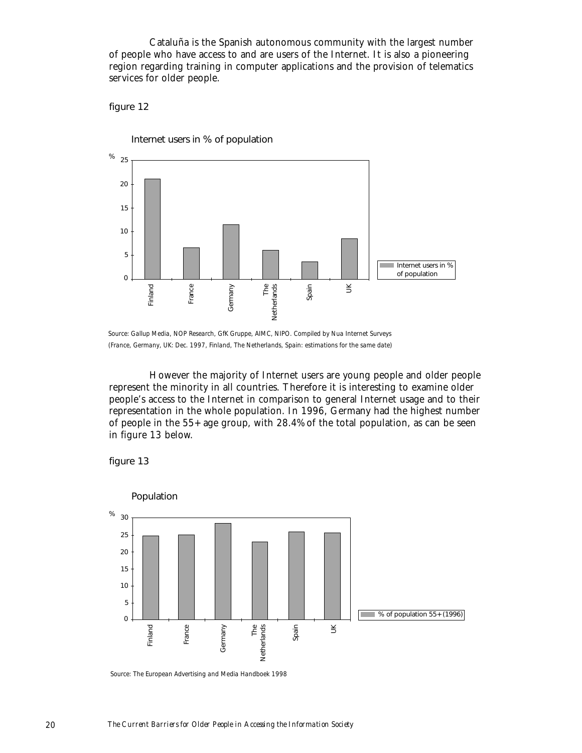Cataluña is the Spanish autonomous community with the largest number of people who have access to and are users of the Internet. It is also a pioneering region regarding training in computer applications and the provision of telematics services for older people.

figure 12



*Source: Gallup Media, NOP Research, GfK Gruppe, AIMC, NIPO. Compiled by Nua Internet Surveys* 

However the majority of Internet users are young people and older people represent the minority in all countries. Therefore it is interesting to examine older people's access to the Internet in comparison to general Internet usage and to their representation in the whole population. In 1996, Germany had the highest number of people in the 55+ age group, with 28.4% of the total population, as can be seen in figure 13 below.



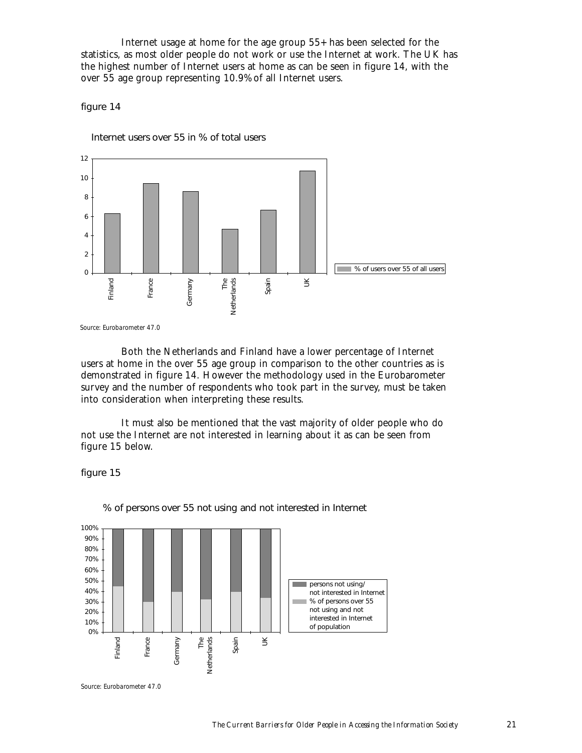Internet usage at home for the age group 55+ has been selected for the statistics, as most older people do not work or use the Internet at work. The UK has the highest number of Internet users at home as can be seen in figure 14, with the over 55 age group representing 10.9% of all Internet users.

figure 14

Internet users over 55 in % of total users



Both the Netherlands and Finland have a lower percentage of Internet users at home in the over 55 age group in comparison to the other countries as is demonstrated in figure 14. However the methodology used in the Eurobarometer survey and the number of respondents who took part in the survey, must be taken into consideration when interpreting these results.

It must also be mentioned that the vast majority of older people who do not use the Internet are not interested in learning about it as can be seen from figure 15 below.

figure 15



% of persons over 55 not using and not interested in Internet

*Source: Eurobarometer 47.0*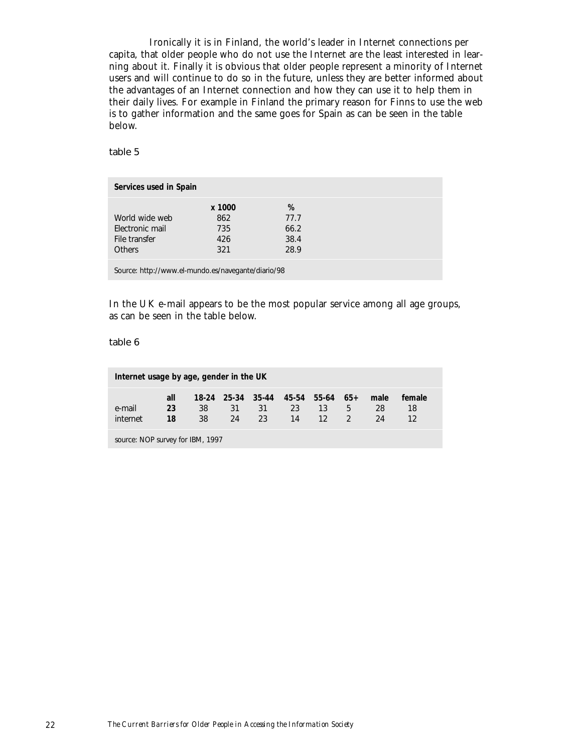Ironically it is in Finland, the world's leader in Internet connections per capita, that older people who do not use the Internet are the least interested in learning about it. Finally it is obvious that older people represent a minority of Internet users and will continue to do so in the future, unless they are better informed about the advantages of an Internet connection and how they can use it to help them in their daily lives. For example in Finland the primary reason for Finns to use the web is to gather information and the same goes for Spain as can be seen in the table below.

table 5

| Services used in Spain |        |      |  |
|------------------------|--------|------|--|
|                        | x 1000 | %    |  |
| World wide web         | 862    | 77.7 |  |
| Electronic mail        | 735    | 66.2 |  |
| File transfer          | 426    | 38.4 |  |
| <b>Others</b>          | 321    | 28.9 |  |
|                        |        |      |  |

Source: http://www.el-mundo.es/navegante/diario/98

In the UK e-mail appears to be the most popular service among all age groups, as can be seen in the table below.

table 6

| Internet usage by age, gender in the UK |                 |          |          |                                               |          |                       |                    |                  |              |  |
|-----------------------------------------|-----------------|----------|----------|-----------------------------------------------|----------|-----------------------|--------------------|------------------|--------------|--|
| e-mail<br>internet                      | all<br>23<br>18 | 38<br>38 | 31<br>24 | 18-24 25-34 35-44 45-54 55-64 65+<br>31<br>23 | 23<br>14 | 13<br>12 <sup>1</sup> | 5<br>$\mathcal{D}$ | male<br>28<br>24 | female<br>18 |  |
| 1007                                    |                 |          |          |                                               |          |                       |                    |                  |              |  |

source: NOP survey for IBM, 1997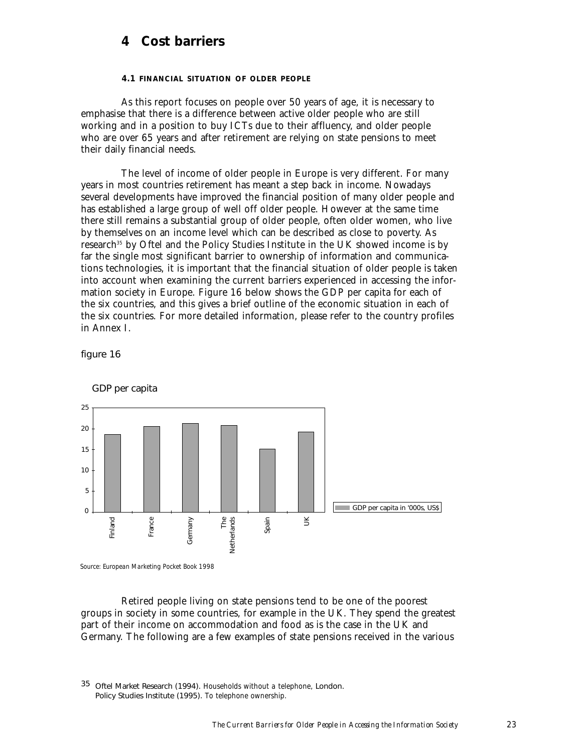# **4 Cost barriers**

#### **4.1 FINANCIAL SITUATION OF OLDER PEOPLE**

As this report focuses on people over 50 years of age, it is necessary to emphasise that there is a difference between active older people who are still working and in a position to buy ICTs due to their affluency, and older people who are over 65 years and after retirement are relying on state pensions to meet their daily financial needs.

The level of income of older people in Europe is very different. For many years in most countries retirement has meant a step back in income. Nowadays several developments have improved the financial position of many older people and has established a large group of well off older people. However at the same time there still remains a substantial group of older people, often older women, who live by themselves on an income level which can be described as close to poverty. As research<sup>35</sup> by Oftel and the Policy Studies Institute in the UK showed income is by far the single most significant barrier to ownership of information and communications technologies, it is important that the financial situation of older people is taken into account when examining the current barriers experienced in accessing the information society in Europe. Figure 16 below shows the GDP per capita for each of the six countries, and this gives a brief outline of the economic situation in each of the six countries. For more detailed information, please refer to the country profiles in Annex I.

figure 16



GDP per capita

Retired people living on state pensions tend to be one of the poorest groups in society in some countries, for example in the UK. They spend the greatest part of their income on accommodation and food as is the case in the UK and Germany. The following are a few examples of state pensions received in the various

35 Oftel Market Research (1994). *Households without a telephone,* London. Policy Studies Institute (1995). *To telephone ownership.*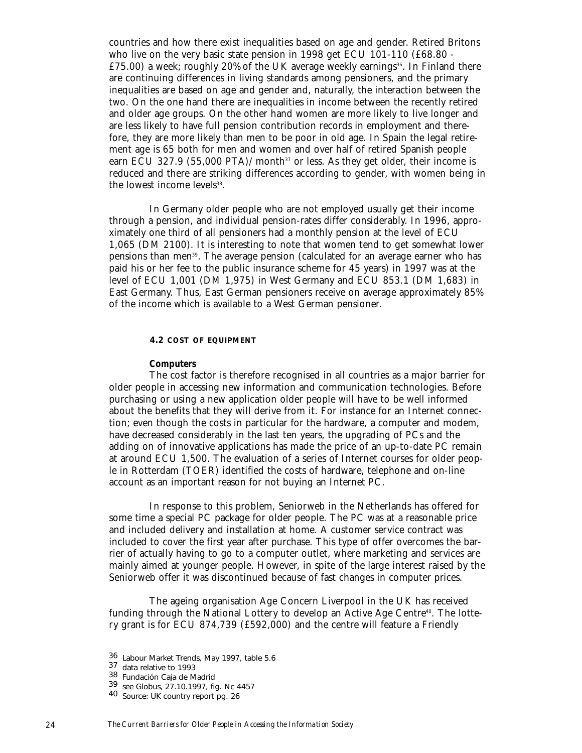countries and how there exist inequalities based on age and gender. Retired Britons who live on the very basic state pension in 1998 get ECU 101-110 ( $\pounds 68.80 -$ £75.00) a week; roughly 20% of the UK average weekly earnings<sup>36</sup>. In Finland there are continuing differences in living standards among pensioners, and the primary inequalities are based on age and gender and, naturally, the interaction between the two. On the one hand there are inequalities in income between the recently retired and older age groups. On the other hand women are more likely to live longer and are less likely to have full pension contribution records in employment and therefore, they are more likely than men to be poor in old age. In Spain the legal retirement age is 65 both for men and women and over half of retired Spanish people earn ECU 327.9 (55,000 PTA)/month<sup>37</sup> or less. As they get older, their income is reduced and there are striking differences according to gender, with women being in the lowest income levels<sup>38</sup>.

In Germany older people who are not employed usually get their income through a pension, and individual pension-rates differ considerably. In 1996, approximately one third of all pensioners had a monthly pension at the level of ECU 1,065 (DM 2100). It is interesting to note that women tend to get somewhat lower pensions than men39. The average pension (calculated for an average earner who has paid his or her fee to the public insurance scheme for 45 years) in 1997 was at the level of ECU 1,001 (DM 1,975) in West Germany and ECU 853.1 (DM 1,683) in East Germany. Thus, East German pensioners receive on average approximately 85% of the income which is available to a West German pensioner.

#### **4.2 COST OF EQUIPMENT**

#### *Computers*

The cost factor is therefore recognised in all countries as a major barrier for older people in accessing new information and communication technologies. Before purchasing or using a new application older people will have to be well informed about the benefits that they will derive from it. For instance for an Internet connection; even though the costs in particular for the hardware, a computer and modem, have decreased considerably in the last ten years, the upgrading of PCs and the adding on of innovative applications has made the price of an up-to-date PC remain at around ECU 1,500. The evaluation of a series of Internet courses for older people in Rotterdam (TOER) identified the costs of hardware, telephone and on-line account as an important reason for not buying an Internet PC.

In response to this problem, Seniorweb in the Netherlands has offered for some time a special PC package for older people. The PC was at a reasonable price and included delivery and installation at home. A customer service contract was included to cover the first year after purchase. This type of offer overcomes the barrier of actually having to go to a computer outlet, where marketing and services are mainly aimed at younger people. However, in spite of the large interest raised by the Seniorweb offer it was discontinued because of fast changes in computer prices.

The ageing organisation Age Concern Liverpool in the UK has received funding through the National Lottery to develop an Active Age Centre<sup>40</sup>. The lottery grant is for ECU 874,739 (£592,000) and the centre will feature a Friendly

<sup>36</sup> Labour Market Trends, May 1997, table 5.6<br>37 data relative to 1993<br>38 Fundación Caja de Madrid

<sup>39</sup> see Globus, 27.10.1997, fig. Nc 4457<br>40 Source: UK country report pg. 26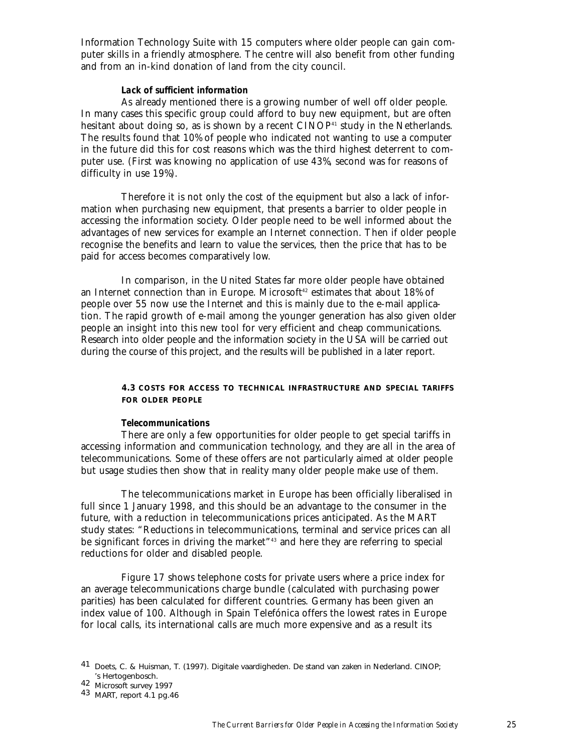Information Technology Suite with 15 computers where older people can gain computer skills in a friendly atmosphere. The centre will also benefit from other funding and from an in-kind donation of land from the city council.

#### *Lack of sufficient information*

As already mentioned there is a growing number of well off older people. In many cases this specific group could afford to buy new equipment, but are often hesitant about doing so, as is shown by a recent CINOP<sup>41</sup> study in the Netherlands. The results found that 10% of people who indicated not wanting to use a computer in the future did this for cost reasons which was the third highest deterrent to computer use. (First was knowing no application of use 43%, second was for reasons of difficulty in use 19%).

Therefore it is not only the cost of the equipment but also a lack of information when purchasing new equipment, that presents a barrier to older people in accessing the information society. Older people need to be well informed about the advantages of new services for example an Internet connection. Then if older people recognise the benefits and learn to value the services, then the price that has to be paid for access becomes comparatively low.

In comparison, in the United States far more older people have obtained an Internet connection than in Europe. Microsoft<sup>42</sup> estimates that about 18% of people over 55 now use the Internet and this is mainly due to the e-mail application. The rapid growth of e-mail among the younger generation has also given older people an insight into this new tool for very efficient and cheap communications. Research into older people and the information society in the USA will be carried out during the course of this project, and the results will be published in a later report.

# **4.3 COSTS FOR ACCESS TO TECHNICAL INFRASTRUCTURE AND SPECIAL TARIFFS FOR OLDER PEOPLE**

#### *Telecommunications*

There are only a few opportunities for older people to get special tariffs in accessing information and communication technology, and they are all in the area of telecommunications. Some of these offers are not particularly aimed at older people but usage studies then show that in reality many older people make use of them.

The telecommunications market in Europe has been officially liberalised in full since 1 January 1998, and this should be an advantage to the consumer in the future, with a reduction in telecommunications prices anticipated. As the MART study states: "Reductions in telecommunications, terminal and service prices can all be significant forces in driving the market"43 and here they are referring to special reductions for older and disabled people.

Figure 17 shows telephone costs for private users where a price index for an average telecommunications charge bundle (calculated with purchasing power parities) has been calculated for different countries. Germany has been given an index value of 100. Although in Spain Telefónica offers the lowest rates in Europe for local calls, its international calls are much more expensive and as a result its

<sup>41</sup> Doets, C. & Huisman, T. (1997). Digitale vaardigheden. De stand van zaken in Nederland. CINOP;

<sup>&#</sup>x27;s Hertogenbosch. <sup>42</sup> Microsoft survey 1997 <sup>43</sup> MART, report 4.1 pg.46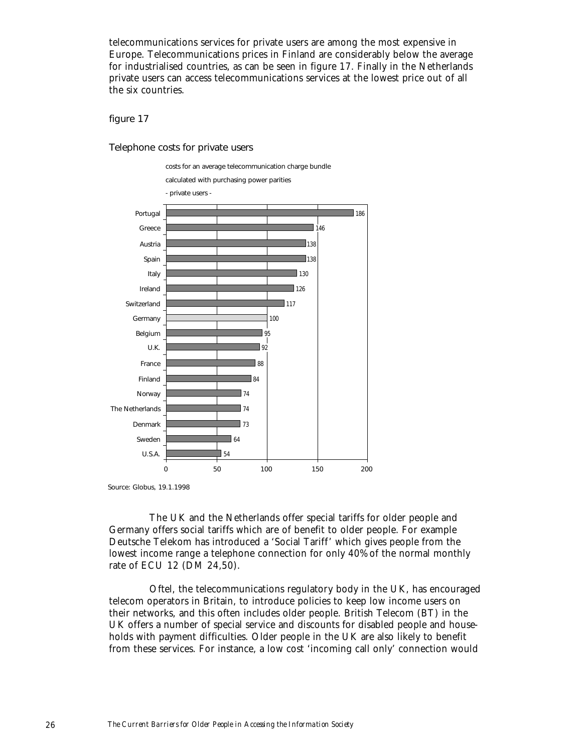telecommunications services for private users are among the most expensive in Europe. Telecommunications prices in Finland are considerably below the average for industrialised countries, as can be seen in figure 17. Finally in the Netherlands private users can access telecommunications services at the lowest price out of all the six countries.

figure 17

Telephone costs for private users



Source: Globus, 19.1.1998

The UK and the Netherlands offer special tariffs for older people and Germany offers social tariffs which are of benefit to older people. For example Deutsche Telekom has introduced a 'Social Tariff' which gives people from the lowest income range a telephone connection for only 40% of the normal monthly rate of ECU 12 (DM 24,50).

Oftel, the telecommunications regulatory body in the UK, has encouraged telecom operators in Britain, to introduce policies to keep low income users on their networks, and this often includes older people. British Telecom (BT) in the UK offers a number of special service and discounts for disabled people and households with payment difficulties. Older people in the UK are also likely to benefit from these services. For instance, a low cost 'incoming call only' connection would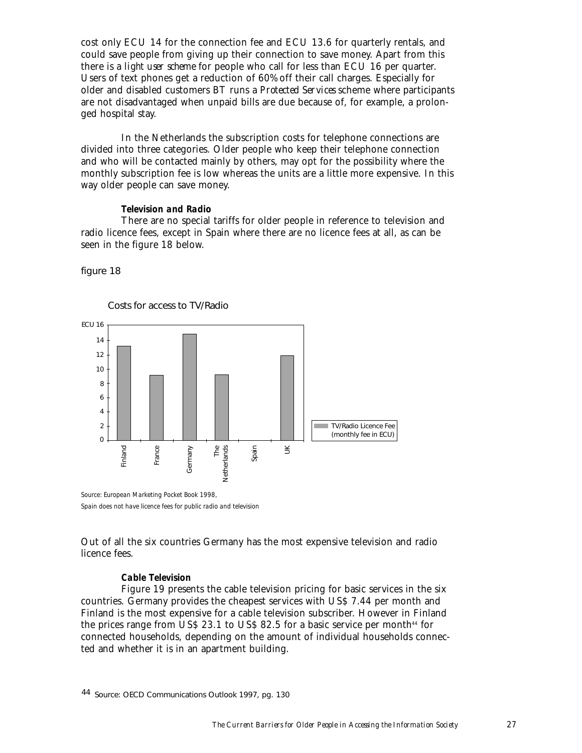cost only ECU 14 for the connection fee and ECU 13.6 for quarterly rentals, and could save people from giving up their connection to save money. Apart from this there is a *light user scheme* for people who call for less than ECU 16 per quarter. Users of text phones get a reduction of 60% off their call charges. Especially for older and disabled customers BT runs a *Protected Services* scheme where participants are not disadvantaged when unpaid bills are due because of, for example, a prolonged hospital stay.

In the Netherlands the subscription costs for telephone connections are divided into three categories. Older people who keep their telephone connection and who will be contacted mainly by others, may opt for the possibility where the monthly subscription fee is low whereas the units are a little more expensive. In this way older people can save money.

#### *Television and Radio*

There are no special tariffs for older people in reference to television and radio licence fees, except in Spain where there are no licence fees at all, as can be seen in the figure 18 below.

figure 18



Out of all the six countries Germany has the most expensive television and radio licence fees.

#### *Cable Television*

Figure 19 presents the cable television pricing for basic services in the six countries. Germany provides the cheapest services with US\$ 7.44 per month and Finland is the most expensive for a cable television subscriber. However in Finland the prices range from US\$ 23.1 to US\$ 82.5 for a basic service per month $44$  for connected households, depending on the amount of individual households connected and whether it is in an apartment building.

<sup>44</sup> Source: OECD Communications Outlook 1997, pg. 130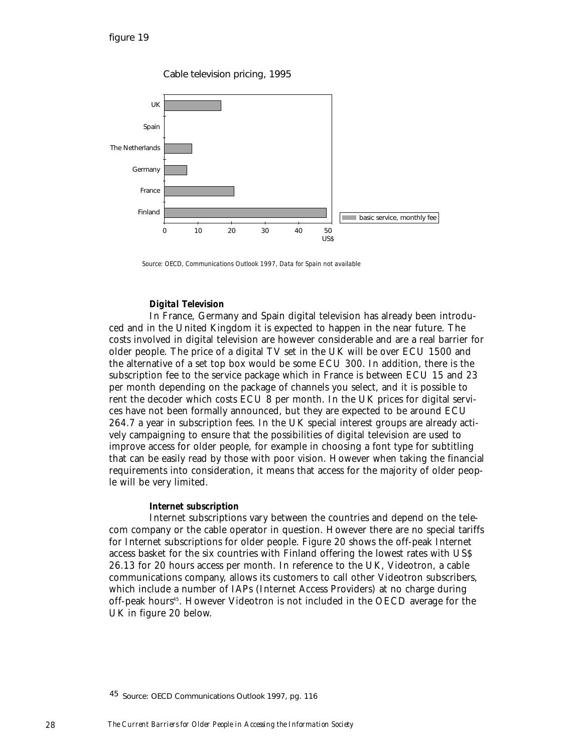Cable television pricing, 1995



*Source: OECD, Communications Outlook 1997, Data for Spain not available*

#### *Digital Television*

In France, Germany and Spain digital television has already been introduced and in the United Kingdom it is expected to happen in the near future. The costs involved in digital television are however considerable and are a real barrier for older people. The price of a digital TV set in the UK will be over ECU 1500 and the alternative of a set top box would be some ECU 300. In addition, there is the subscription fee to the service package which in France is between ECU 15 and 23 per month depending on the package of channels you select, and it is possible to rent the decoder which costs ECU 8 per month. In the UK prices for digital services have not been formally announced, but they are expected to be around ECU 264.7 a year in subscription fees. In the UK special interest groups are already actively campaigning to ensure that the possibilities of digital television are used to improve access for older people, for example in choosing a font type for subtitling that can be easily read by those with poor vision. However when taking the financial requirements into consideration, it means that access for the majority of older people will be very limited.

#### *Internet subscription*

Internet subscriptions vary between the countries and depend on the telecom company or the cable operator in question. However there are no special tariffs for Internet subscriptions for older people. Figure 20 shows the off-peak Internet access basket for the six countries with Finland offering the lowest rates with US\$ 26.13 for 20 hours access per month. In reference to the UK, Videotron, a cable communications company, allows its customers to call other Videotron subscribers, which include a number of IAPs (Internet Access Providers) at no charge during off-peak hours45. However Videotron is not included in the OECD average for the UK in figure 20 below.

<sup>&</sup>lt;sup>45</sup> Source: OECD Communications Outlook 1997, pg. 116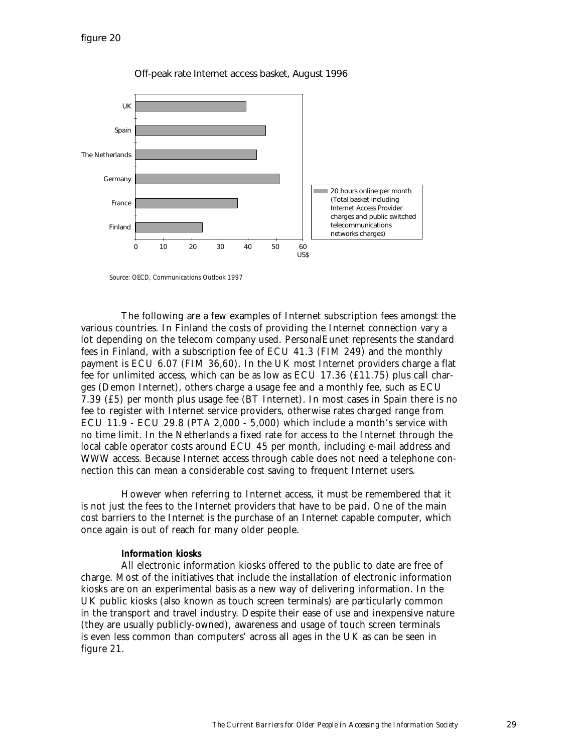

Off-peak rate Internet access basket, August 1996

*Source: OECD, Communications Outlook 1997*

The following are a few examples of Internet subscription fees amongst the various countries. In Finland the costs of providing the Internet connection vary a lot depending on the telecom company used. PersonalEunet represents the standard fees in Finland, with a subscription fee of ECU 41.3 (FIM 249) and the monthly payment is ECU 6.07 (FIM 36,60). In the UK most Internet providers charge a flat fee for unlimited access, which can be as low as ECU 17.36 (£11.75) plus call charges (Demon Internet), others charge a usage fee and a monthly fee, such as ECU 7.39 (£5) per month plus usage fee (BT Internet). In most cases in Spain there is no fee to register with Internet service providers, otherwise rates charged range from ECU 11.9 - ECU 29.8 (PTA 2,000 - 5,000) which include a month's service with no time limit. In the Netherlands a fixed rate for access to the Internet through the local cable operator costs around ECU 45 per month, including e-mail address and WWW access. Because Internet access through cable does not need a telephone connection this can mean a considerable cost saving to frequent Internet users.

However when referring to Internet access, it must be remembered that it is not just the fees to the Internet providers that have to be paid. One of the main cost barriers to the Internet is the purchase of an Internet capable computer, which once again is out of reach for many older people.

#### *Information kiosks*

All electronic information kiosks offered to the public to date are free of charge. Most of the initiatives that include the installation of electronic information kiosks are on an experimental basis as a new way of delivering information. In the UK public kiosks (also known as touch screen terminals) are particularly common in the transport and travel industry. Despite their ease of use and inexpensive nature (they are usually publicly-owned), awareness and usage of touch screen terminals is even less common than computers' across all ages in the UK as can be seen in figure 21.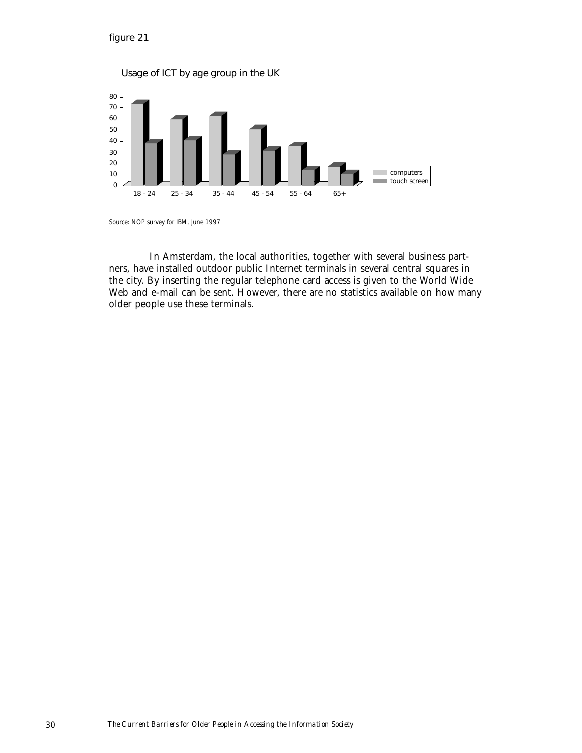

*Source: NOP survey for IBM, June 1997*

In Amsterdam, the local authorities, together with several business partners, have installed outdoor public Internet terminals in several central squares in the city. By inserting the regular telephone card access is given to the World Wide Web and e-mail can be sent. However, there are no statistics available on how many older people use these terminals.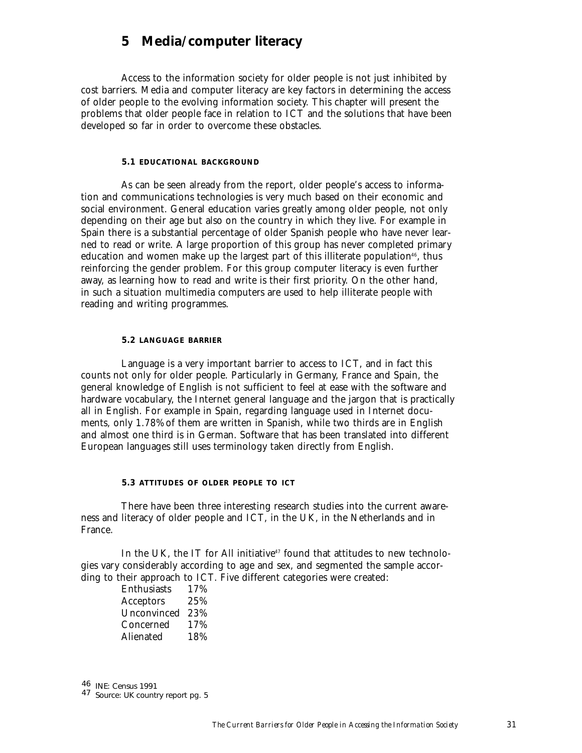# **5 Media/computer literacy**

Access to the information society for older people is not just inhibited by cost barriers. Media and computer literacy are key factors in determining the access of older people to the evolving information society. This chapter will present the problems that older people face in relation to ICT and the solutions that have been developed so far in order to overcome these obstacles.

#### **5.1 EDUCATIONAL BACKGROUND**

As can be seen already from the report, older people's access to information and communications technologies is very much based on their economic and social environment. General education varies greatly among older people, not only depending on their age but also on the country in which they live. For example in Spain there is a substantial percentage of older Spanish people who have never learned to read or write. A large proportion of this group has never completed primary education and women make up the largest part of this illiterate population $46$ , thus reinforcing the gender problem. For this group computer literacy is even further away, as learning how to read and write is their first priority. On the other hand, in such a situation multimedia computers are used to help illiterate people with reading and writing programmes.

#### **5.2 LANGUAGE BARRIER**

Language is a very important barrier to access to ICT, and in fact this counts not only for older people. Particularly in Germany, France and Spain, the general knowledge of English is not sufficient to feel at ease with the software and hardware vocabulary, the Internet general language and the jargon that is practically all in English. For example in Spain, regarding language used in Internet documents, only 1.78% of them are written in Spanish, while two thirds are in English and almost one third is in German. Software that has been translated into different European languages still uses terminology taken directly from English.

#### **5.3 ATTITUDES OF OLDER PEOPLE TO ICT**

There have been three interesting research studies into the current awareness and literacy of older people and ICT, in the UK, in the Netherlands and in France.

In the UK, the IT for All initiative<sup>47</sup> found that attitudes to new technologies vary considerably according to age and sex, and segmented the sample according to their approach to ICT. Five different categories were created:

> Enthusiasts 17% Acceptors 25% Unconvinced 23% Concerned 17% Alienated 18%

46 INE: Census 1991 47 Source: UK country report pg. 5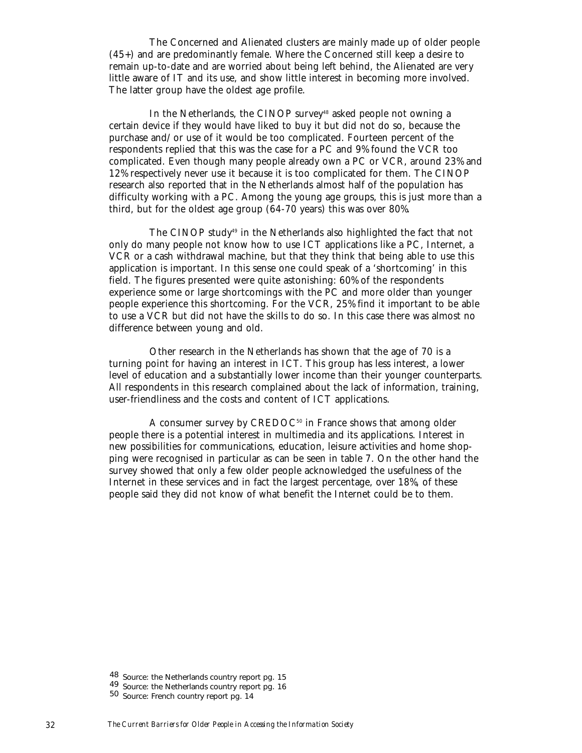The Concerned and Alienated clusters are mainly made up of older people (45+) and are predominantly female. Where the Concerned still keep a desire to remain up-to-date and are worried about being left behind, the Alienated are very little aware of IT and its use, and show little interest in becoming more involved. The latter group have the oldest age profile.

In the Netherlands, the CINOP survey<sup>48</sup> asked people not owning a certain device if they would have liked to buy it but did not do so, because the purchase and/or use of it would be too complicated. Fourteen percent of the respondents replied that this was the case for a PC and 9% found the VCR too complicated. Even though many people already own a PC or VCR, around 23% and 12% respectively never use it because it is too complicated for them. The CINOP research also reported that in the Netherlands almost half of the population has difficulty working with a PC. Among the young age groups, this is just more than a third, but for the oldest age group (64-70 years) this was over 80%.

The CINOP study<sup>49</sup> in the Netherlands also highlighted the fact that not only do many people not know how to use ICT applications like a PC, Internet, a VCR or a cash withdrawal machine, but that they think that being able to use this application is important. In this sense one could speak of a 'shortcoming' in this field. The figures presented were quite astonishing: 60% of the respondents experience some or large shortcomings with the PC and more older than younger people experience this shortcoming. For the VCR, 25% find it important to be able to use a VCR but did not have the skills to do so. In this case there was almost no difference between young and old.

Other research in the Netherlands has shown that the age of 70 is a turning point for having an interest in ICT. This group has less interest, a lower level of education and a substantially lower income than their younger counterparts. All respondents in this research complained about the lack of information, training, user-friendliness and the costs and content of ICT applications.

A consumer survey by  $CREDOC^{50}$  in France shows that among older people there is a potential interest in multimedia and its applications. Interest in new possibilities for communications, education, leisure activities and home shopping were recognised in particular as can be seen in table 7. On the other hand the survey showed that only a few older people acknowledged the usefulness of the Internet in these services and in fact the largest percentage, over 18%, of these people said they did not know of what benefit the Internet could be to them.

<sup>48</sup> Source: the Netherlands country report pg. 15<br>49 Source: the Netherlands country report pg. 16<br>50 Source: French country report pg. 14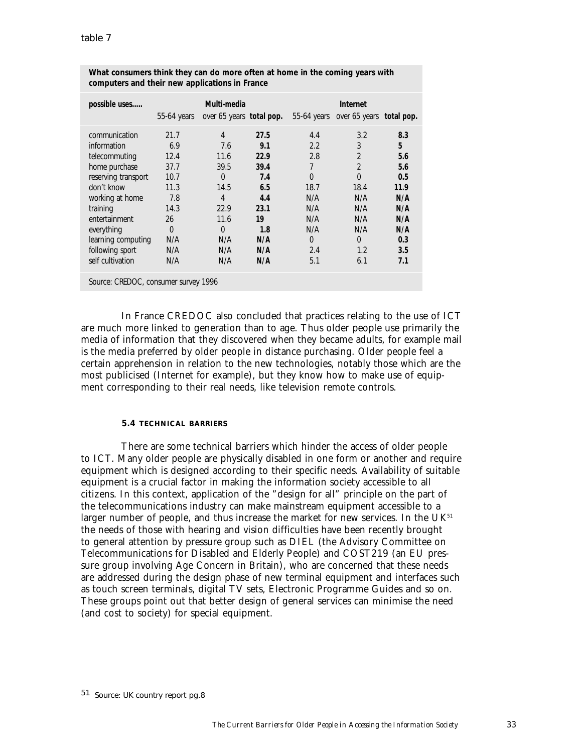| possible uses                        |             | Multi-media              |      |                | Internet                 |      |
|--------------------------------------|-------------|--------------------------|------|----------------|--------------------------|------|
|                                      | 55-64 years | over 65 years total pop. |      | $55-64$ years  | over 65 years total pop. |      |
| communication                        | 21.7        | 4                        | 27.5 | 4.4            | 3.2                      | 8.3  |
| information                          | 6.9         | 7.6                      | 9.1  | 2.2            | 3                        | 5    |
| telecommuting                        | 12.4        | 11.6                     | 22.9 | 2.8            | $\overline{2}$           | 5.6  |
| home purchase                        | 37.7        | 39.5                     | 39.4 | 7              | $\overline{2}$           | 5.6  |
| reserving transport                  | 10.7        | 0                        | 7.4  | $\overline{0}$ | $\Omega$                 | 0.5  |
| don't know                           | 11.3        | 14.5                     | 6.5  | 18.7           | 18.4                     | 11.9 |
| working at home                      | 7.8         | 4                        | 4.4  | N/A            | N/A                      | N/A  |
| training                             | 14.3        | 22.9                     | 23.1 | N/A            | N/A                      | N/A  |
| entertainment                        | 26          | 11.6                     | 19   | N/A            | N/A                      | N/A  |
| everything                           | $\Omega$    | $\Omega$                 | 1.8  | N/A            | N/A                      | N/A  |
| learning computing                   | N/A         | N/A                      | N/A  | $\Omega$       | $\Omega$                 | 0.3  |
| following sport                      | N/A         | N/A                      | N/A  | 2.4            | 1.2                      | 3.5  |
| self cultivation                     | N/A         | N/A                      | N/A  | 5.1            | 6.1                      | 7.1  |
| Source: CREDOC, consumer survey 1996 |             |                          |      |                |                          |      |

**What consumers think they can do more often at home in the coming years with computers and their new applications in France**

In France CREDOC also concluded that practices relating to the use of ICT are much more linked to generation than to age. Thus older people use primarily the media of information that they discovered when they became adults, for example mail is the media preferred by older people in distance purchasing. Older people feel a certain apprehension in relation to the new technologies, notably those which are the most publicised (Internet for example), but they know how to make use of equipment corresponding to their real needs, like television remote controls.

### **5.4 TECHNICAL BARRIERS**

There are some technical barriers which hinder the access of older people to ICT. Many older people are physically disabled in one form or another and require equipment which is designed according to their specific needs. Availability of suitable equipment is a crucial factor in making the information society accessible to all citizens. In this context, application of the "design for all" principle on the part of the telecommunications industry can make mainstream equipment accessible to a larger number of people, and thus increase the market for new services. In the  $UK<sup>51</sup>$ the needs of those with hearing and vision difficulties have been recently brought to general attention by pressure group such as DIEL (the Advisory Committee on Telecommunications for Disabled and Elderly People) and COST219 (an EU pressure group involving Age Concern in Britain), who are concerned that these needs are addressed during the design phase of new terminal equipment and interfaces such as touch screen terminals, digital TV sets, Electronic Programme Guides and so on. These groups point out that better design of general services can minimise the need (and cost to society) for special equipment.

<sup>51</sup> Source: UK country report pg.8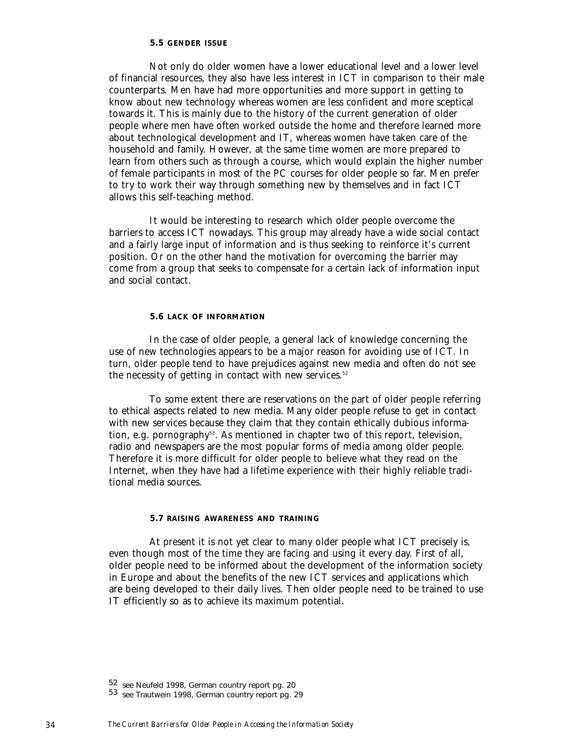#### **5.5 GENDER ISSUE**

Not only do older women have a lower educational level and a lower level of financial resources, they also have less interest in ICT in comparison to their male counterparts. Men have had more opportunities and more support in getting to know about new technology whereas women are less confident and more sceptical towards it. This is mainly due to the history of the current generation of older people where men have often worked outside the home and therefore learned more about technological development and IT, whereas women have taken care of the household and family. However, at the same time women are more prepared to learn from others such as through a course, which would explain the higher number of female participants in most of the PC courses for older people so far. Men prefer to try to work their way through something new by themselves and in fact ICT allows this self-teaching method.

It would be interesting to research which older people overcome the barriers to access ICT nowadays. This group may already have a wide social contact and a fairly large input of information and is thus seeking to reinforce it's current position. Or on the other hand the motivation for overcoming the barrier may come from a group that seeks to compensate for a certain lack of information input and social contact.

#### **5.6 LACK OF INFORMATION**

In the case of older people, a general lack of knowledge concerning the use of new technologies appears to be a major reason for avoiding use of ICT. In turn, older people tend to have prejudices against new media and often do not see the necessity of getting in contact with new services.<sup>52</sup>

To some extent there are reservations on the part of older people referring to ethical aspects related to new media. Many older people refuse to get in contact with new services because they claim that they contain ethically dubious information, e.g. pornography<sup>53</sup>. As mentioned in chapter two of this report, television, radio and newspapers are the most popular forms of media among older people. Therefore it is more difficult for older people to believe what they read on the Internet, when they have had a lifetime experience with their highly reliable traditional media sources.

#### **5.7 RAISING AWARENESS AND TRAINING**

At present it is not yet clear to many older people what ICT precisely is, even though most of the time they are facing and using it every day. First of all, older people need to be informed about the development of the information society in Europe and about the benefits of the new ICT services and applications which are being developed to their daily lives. Then older people need to be trained to use IT efficiently so as to achieve its maximum potential.

<sup>52</sup> see Neufeld 1998, German country report pg. 20<br>53 see Trautwein 1998, German country report pg. 29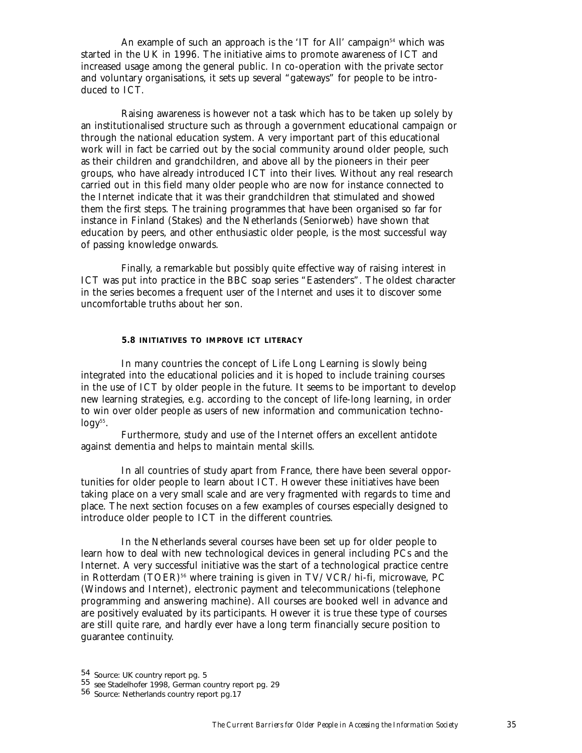An example of such an approach is the 'IT for All' campaign<sup>54</sup> which was started in the UK in 1996. The initiative aims to promote awareness of ICT and increased usage among the general public. In co-operation with the private sector and voluntary organisations, it sets up several "gateways" for people to be introduced to ICT.

Raising awareness is however not a task which has to be taken up solely by an institutionalised structure such as through a government educational campaign or through the national education system. A very important part of this educational work will in fact be carried out by the social community around older people, such as their children and grandchildren, and above all by the pioneers in their peer groups, who have already introduced ICT into their lives. Without any real research carried out in this field many older people who are now for instance connected to the Internet indicate that it was their grandchildren that stimulated and showed them the first steps. The training programmes that have been organised so far for instance in Finland (Stakes) and the Netherlands (Seniorweb) have shown that education by peers, and other enthusiastic older people, is the most successful way of passing knowledge onwards.

Finally, a remarkable but possibly quite effective way of raising interest in ICT was put into practice in the BBC soap series "Eastenders". The oldest character in the series becomes a frequent user of the Internet and uses it to discover some uncomfortable truths about her son.

#### **5.8 INITIATIVES TO IMPROVE ICT LITERACY**

In many countries the concept of Life Long Learning is slowly being integrated into the educational policies and it is hoped to include training courses in the use of ICT by older people in the future. It seems to be important to develop new learning strategies, e.g. according to the concept of life-long learning, in order to win over older people as users of new information and communication techno $logy^{55}$ .

Furthermore, study and use of the Internet offers an excellent antidote against dementia and helps to maintain mental skills.

In all countries of study apart from France, there have been several opportunities for older people to learn about ICT. However these initiatives have been taking place on a very small scale and are very fragmented with regards to time and place. The next section focuses on a few examples of courses especially designed to introduce older people to ICT in the different countries.

In the Netherlands several courses have been set up for older people to learn how to deal with new technological devices in general including PCs and the Internet. A very successful initiative was the start of a technological practice centre in Rotterdam (TOER)<sup>56</sup> where training is given in  $TV/VCR/h$ i-fi, microwave, PC (Windows and Internet), electronic payment and telecommunications (telephone programming and answering machine). All courses are booked well in advance and are positively evaluated by its participants. However it is true these type of courses are still quite rare, and hardly ever have a long term financially secure position to guarantee continuity.

<sup>54</sup> Source: UK country report pg. 5<br>55 see Stadelhofer 1998, German country report pg. 29<br>56 Source: Netherlands country report pg.17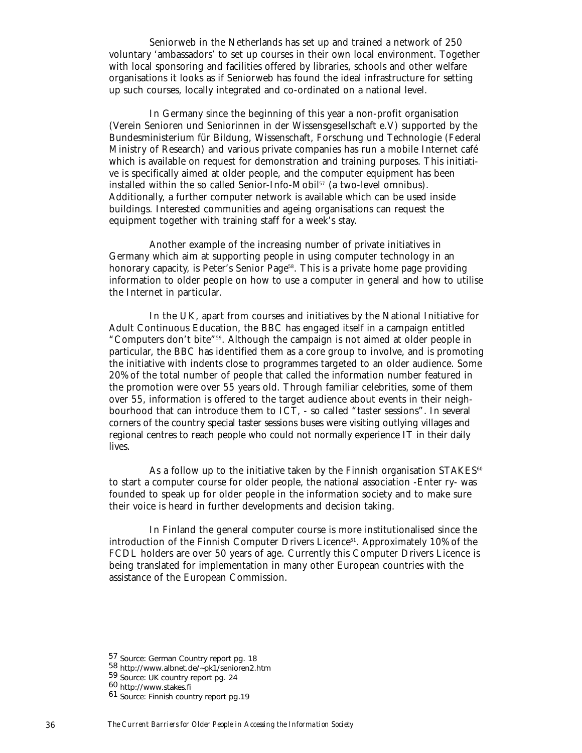Seniorweb in the Netherlands has set up and trained a network of 250 voluntary 'ambassadors' to set up courses in their own local environment. Together with local sponsoring and facilities offered by libraries, schools and other welfare organisations it looks as if Seniorweb has found the ideal infrastructure for setting up such courses, locally integrated and co-ordinated on a national level.

In Germany since the beginning of this year a non-profit organisation (Verein Senioren und Seniorinnen in der Wissensgesellschaft e.V) supported by the Bundesministerium für Bildung, Wissenschaft, Forschung und Technologie (Federal Ministry of Research) and various private companies has run a mobile Internet café which is available on request for demonstration and training purposes. This initiative is specifically aimed at older people, and the computer equipment has been installed within the so called Senior-Info-Mobil<sup>57</sup> (a two-level omnibus). Additionally, a further computer network is available which can be used inside buildings. Interested communities and ageing organisations can request the equipment together with training staff for a week's stay.

Another example of the increasing number of private initiatives in Germany which aim at supporting people in using computer technology in an honorary capacity, is Peter's Senior Page<sup>58</sup>. This is a private home page providing information to older people on how to use a computer in general and how to utilise the Internet in particular.

In the UK, apart from courses and initiatives by the National Initiative for Adult Continuous Education, the BBC has engaged itself in a campaign entitled "Computers don't bite"59. Although the campaign is not aimed at older people in particular, the BBC has identified them as a core group to involve, and is promoting the initiative with indents close to programmes targeted to an older audience. Some 20% of the total number of people that called the information number featured in the promotion were over 55 years old. Through familiar celebrities, some of them over 55, information is offered to the target audience about events in their neighbourhood that can introduce them to ICT, - so called "taster sessions". In several corners of the country special taster sessions buses were visiting outlying villages and regional centres to reach people who could not normally experience IT in their daily lives.

As a follow up to the initiative taken by the Finnish organisation  $STAKES<sup>60</sup>$ to start a computer course for older people, the national association -Enter ry- was founded to speak up for older people in the information society and to make sure their voice is heard in further developments and decision taking.

In Finland the general computer course is more institutionalised since the introduction of the Finnish Computer Drivers Licence<sup>61</sup>. Approximately 10% of the FCDL holders are over 50 years of age. Currently this Computer Drivers Licence is being translated for implementation in many other European countries with the assistance of the European Commission.

<sup>57</sup> Source: German Country report pg. 18<br>58 http://www.albnet.de/~pk1/senioren2.htm<br>59 Source: UK country report pg. 24<br>60 http://www.stakes.fi

<sup>61</sup> Source: Finnish country report pg.19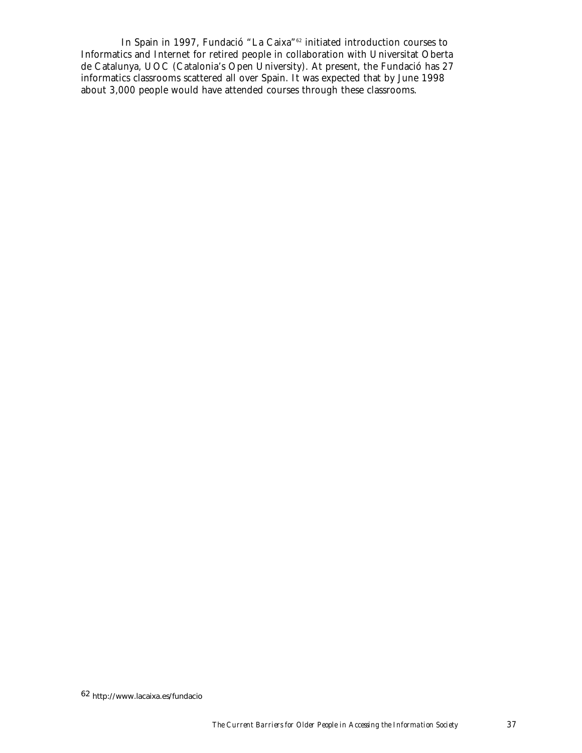In Spain in 1997, Fundació "La Caixa"62 initiated introduction courses to Informatics and Internet for retired people in collaboration with Universitat Oberta de Catalunya, UOC (Catalonia's Open University). At present, the Fundació has 27 informatics classrooms scattered all over Spain. It was expected that by June 1998 about 3,000 people would have attended courses through these classrooms.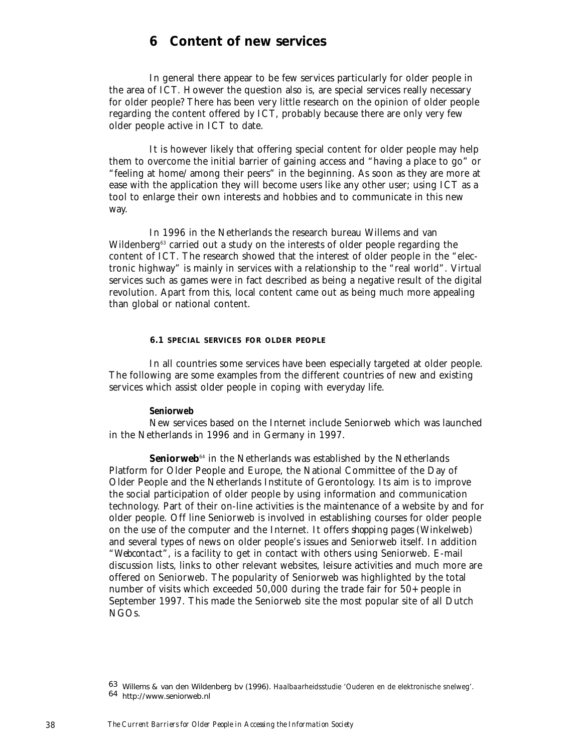# **6 Content of new services**

In general there appear to be few services particularly for older people in the area of ICT. However the question also is, are special services really necessary for older people? There has been very little research on the opinion of older people regarding the content offered by ICT, probably because there are only very few older people active in ICT to date.

It is however likely that offering special content for older people may help them to overcome the initial barrier of gaining access and "having a place to go" or "feeling at home/among their peers" in the beginning. As soon as they are more at ease with the application they will become users like any other user; using ICT as a tool to enlarge their own interests and hobbies and to communicate in this new way.

In 1996 in the Netherlands the research bureau Willems and van Wildenberg<sup>63</sup> carried out a study on the interests of older people regarding the content of ICT. The research showed that the interest of older people in the "electronic highway" is mainly in services with a relationship to the "real world". Virtual services such as games were in fact described as being a negative result of the digital revolution. Apart from this, local content came out as being much more appealing than global or national content.

#### **6.1 SPECIAL SERVICES FOR OLDER PEOPLE**

In all countries some services have been especially targeted at older people. The following are some examples from the different countries of new and existing services which assist older people in coping with everyday life.

#### *Seniorweb*

New services based on the Internet include Seniorweb which was launched in the Netherlands in 1996 and in Germany in 1997.

**Seniorweb**<sup>64</sup> in the Netherlands was established by the Netherlands Platform for Older People and Europe, the National Committee of the Day of Older People and the Netherlands Institute of Gerontology. Its aim is to improve the social participation of older people by using information and communication technology. Part of their on-line activities is the maintenance of a website by and for older people. Off line Seniorweb is involved in establishing courses for older people on the use of the computer and the Internet. It offers *shopping pages* (Winkelweb) and several types of news on older people's issues and Seniorweb itself. In addition "*Webcontact*", is a facility to get in contact with others using Seniorweb. E-mail discussion lists, links to other relevant websites, leisure activities and much more are offered on Seniorweb. The popularity of Seniorweb was highlighted by the total number of visits which exceeded 50,000 during the trade fair for 50+ people in September 1997. This made the Seniorweb site the most popular site of all Dutch NGOs.

<sup>63</sup> Willems & van den Wildenberg bv (1996). *Haalbaarheidsstudie 'Ouderen en de elektronische snelweg'.* <sup>64</sup> http://www.seniorweb.nl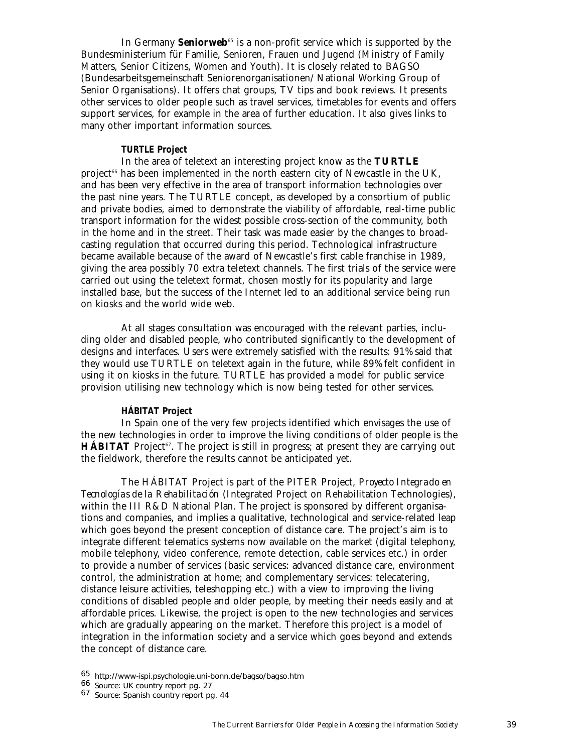In Germany **Seniorweb**<sup>65</sup> is a non-profit service which is supported by the Bundesministerium für Familie, Senioren, Frauen und Jugend (Ministry of Family Matters, Senior Citizens, Women and Youth). It is closely related to BAGSO (Bundesarbeitsgemeinschaft Seniorenorganisationen/National Working Group of Senior Organisations). It offers chat groups, TV tips and book reviews. It presents other services to older people such as travel services, timetables for events and offers support services, for example in the area of further education. It also gives links to many other important information sources.

#### *TURTLE Project*

In the area of teletext an interesting project know as the **TURTLE** project<sup> $66$ </sup> has been implemented in the north eastern city of Newcastle in the UK, and has been very effective in the area of transport information technologies over the past nine years. The TURTLE concept, as developed by a consortium of public and private bodies, aimed to demonstrate the viability of affordable, real-time public transport information for the widest possible cross-section of the community, both in the home and in the street. Their task was made easier by the changes to broadcasting regulation that occurred during this period. Technological infrastructure became available because of the award of Newcastle's first cable franchise in 1989, giving the area possibly 70 extra teletext channels. The first trials of the service were carried out using the teletext format, chosen mostly for its popularity and large installed base, but the success of the Internet led to an additional service being run on kiosks and the world wide web.

At all stages consultation was encouraged with the relevant parties, including older and disabled people, who contributed significantly to the development of designs and interfaces. Users were extremely satisfied with the results: 91% said that they would use TURTLE on teletext again in the future, while 89% felt confident in using it on kiosks in the future. TURTLE has provided a model for public service provision utilising new technology which is now being tested for other services.

#### *HÁBITAT Project*

In Spain one of the very few projects identified which envisages the use of the new technologies in order to improve the living conditions of older people is the **HÁBITAT** Project<sup>67</sup>. The project is still in progress; at present they are carrying out the fieldwork, therefore the results cannot be anticipated yet.

The HÁBITAT Project is part of the PITER Project, *Proyecto Integrado en Tecnologías de la Rehabilitación* (Integrated Project on Rehabilitation Technologies), within the III R&D National Plan. The project is sponsored by different organisations and companies, and implies a qualitative, technological and service-related leap which goes beyond the present conception of distance care. The project's aim is to integrate different telematics systems now available on the market (digital telephony, mobile telephony, video conference, remote detection, cable services etc.) in order to provide a number of services (basic services: advanced distance care, environment control, the administration at home; and complementary services: telecatering, distance leisure activities, teleshopping etc.) with a view to improving the living conditions of disabled people and older people, by meeting their needs easily and at affordable prices. Likewise, the project is open to the new technologies and services which are gradually appearing on the market. Therefore this project is a model of integration in the information society and a service which goes beyond and extends the concept of distance care.

<sup>65</sup> http://www-ispi.psychologie.uni-bonn.de/bagso/bagso.htm 66 Source: UK country report pg. 27 67 Source: Spanish country report pg. 44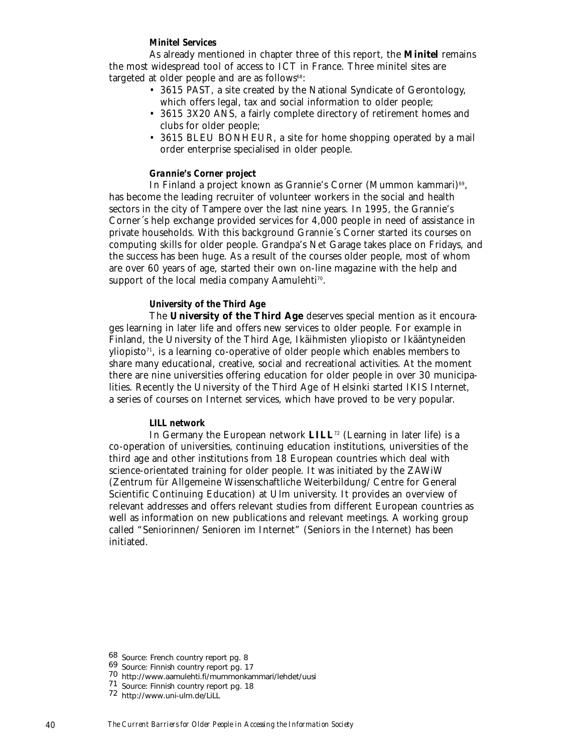#### *Minitel Services*

As already mentioned in chapter three of this report, the **Minitel** remains the most widespread tool of access to ICT in France. Three minitel sites are targeted at older people and are as follows<sup>68</sup>:

- 3615 PAST, a site created by the National Syndicate of Gerontology, which offers legal, tax and social information to older people;
- 3615 3X20 ANS, a fairly complete directory of retirement homes and clubs for older people;
- 3615 BLEU BONHEUR, a site for home shopping operated by a mail order enterprise specialised in older people.

#### *Grannie's Corner project*

In Finland a project known as Grannie's Corner (Mummon kammari)<sup>69</sup>, has become the leading recruiter of volunteer workers in the social and health sectors in the city of Tampere over the last nine years. In 1995, the Grannie's Corner´s help exchange provided services for 4,000 people in need of assistance in private households. With this background Grannie´s Corner started its courses on computing skills for older people. Grandpa's Net Garage takes place on Fridays, and the success has been huge. As a result of the courses older people, most of whom are over 60 years of age, started their own on-line magazine with the help and support of the local media company Aamulehti<sup>70</sup>.

#### *University of the Third Age*

The **University of the Third Age** deserves special mention as it encourages learning in later life and offers new services to older people. For example in Finland, the University of the Third Age, Ikäihmisten yliopisto or Ikääntyneiden yliopisto<sup> $71$ </sup>, is a learning co-operative of older people which enables members to share many educational, creative, social and recreational activities. At the moment there are nine universities offering education for older people in over 30 municipalities. Recently the University of the Third Age of Helsinki started IKIS Internet, a series of courses on Internet services, which have proved to be very popular.

### *LILL network*

In Germany the European network **LILL**<sup>72</sup> (Learning in later life) is a co-operation of universities, continuing education institutions, universities of the third age and other institutions from 18 European countries which deal with science-orientated training for older people. It was initiated by the ZAWiW (Zentrum für Allgemeine Wissenschaftliche Weiterbildung/Centre for General Scientific Continuing Education) at Ulm university. It provides an overview of relevant addresses and offers relevant studies from different European countries as well as information on new publications and relevant meetings. A working group called "Seniorinnen/Senioren im Internet" (Seniors in the Internet) has been initiated.

<sup>68</sup> Source: French country report pg. 8<br>69 Source: Finnish country report pg. 17<br>70 http://www.aamulehti.fi/mummonkammari/lehdet/uusi

<sup>71</sup> Source: Finnish country report pg. 18 <sup>72</sup> http://www.uni-ulm.de/LiLL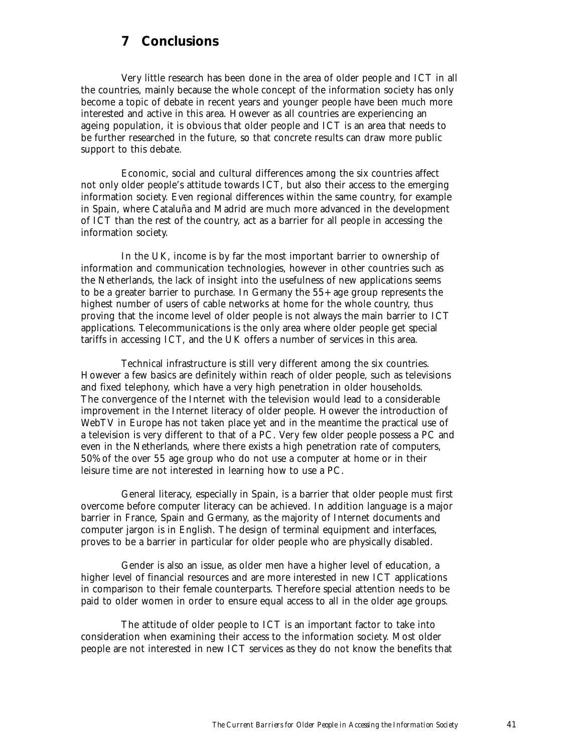# **7 Conclusions**

Very little research has been done in the area of older people and ICT in all the countries, mainly because the whole concept of the information society has only become a topic of debate in recent years and younger people have been much more interested and active in this area. However as all countries are experiencing an ageing population, it is obvious that older people and ICT is an area that needs to be further researched in the future, so that concrete results can draw more public support to this debate.

Economic, social and cultural differences among the six countries affect not only older people's attitude towards ICT, but also their access to the emerging information society. Even regional differences within the same country, for example in Spain, where Cataluña and Madrid are much more advanced in the development of ICT than the rest of the country, act as a barrier for all people in accessing the information society.

In the UK, income is by far the most important barrier to ownership of information and communication technologies, however in other countries such as the Netherlands, the lack of insight into the usefulness of new applications seems to be a greater barrier to purchase. In Germany the 55+ age group represents the highest number of users of cable networks at home for the whole country, thus proving that the income level of older people is not always the main barrier to ICT applications. Telecommunications is the only area where older people get special tariffs in accessing ICT, and the UK offers a number of services in this area.

Technical infrastructure is still very different among the six countries. However a few basics are definitely within reach of older people, such as televisions and fixed telephony, which have a very high penetration in older households. The convergence of the Internet with the television would lead to a considerable improvement in the Internet literacy of older people. However the introduction of WebTV in Europe has not taken place yet and in the meantime the practical use of a television is very different to that of a PC. Very few older people possess a PC and even in the Netherlands, where there exists a high penetration rate of computers, 50% of the over 55 age group who do not use a computer at home or in their leisure time are not interested in learning how to use a PC.

General literacy, especially in Spain, is a barrier that older people must first overcome before computer literacy can be achieved. In addition language is a major barrier in France, Spain and Germany, as the majority of Internet documents and computer jargon is in English. The design of terminal equipment and interfaces, proves to be a barrier in particular for older people who are physically disabled.

Gender is also an issue, as older men have a higher level of education, a higher level of financial resources and are more interested in new ICT applications in comparison to their female counterparts. Therefore special attention needs to be paid to older women in order to ensure equal access to all in the older age groups.

The attitude of older people to ICT is an important factor to take into consideration when examining their access to the information society. Most older people are not interested in new ICT services as they do not know the benefits that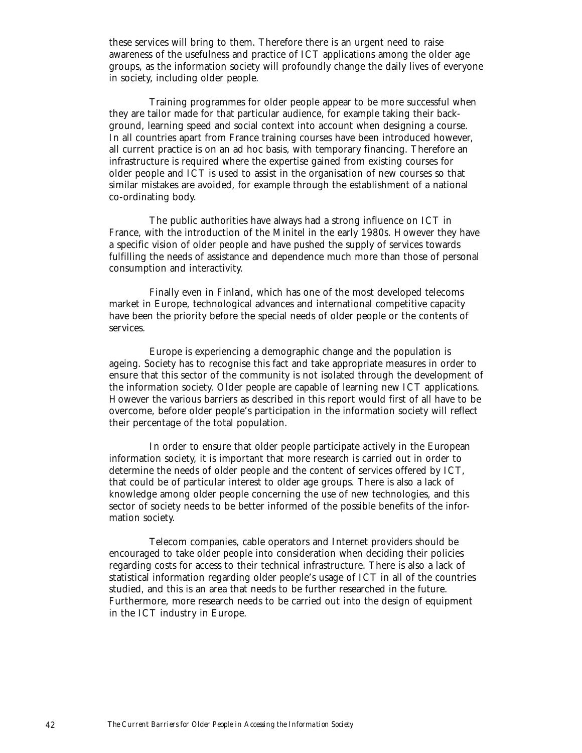these services will bring to them. Therefore there is an urgent need to raise awareness of the usefulness and practice of ICT applications among the older age groups, as the information society will profoundly change the daily lives of everyone in society, including older people.

Training programmes for older people appear to be more successful when they are tailor made for that particular audience, for example taking their background, learning speed and social context into account when designing a course. In all countries apart from France training courses have been introduced however, all current practice is on an ad hoc basis, with temporary financing. Therefore an infrastructure is required where the expertise gained from existing courses for older people and ICT is used to assist in the organisation of new courses so that similar mistakes are avoided, for example through the establishment of a national co-ordinating body.

The public authorities have always had a strong influence on ICT in France, with the introduction of the Minitel in the early 1980s. However they have a specific vision of older people and have pushed the supply of services towards fulfilling the needs of assistance and dependence much more than those of personal consumption and interactivity.

Finally even in Finland, which has one of the most developed telecoms market in Europe, technological advances and international competitive capacity have been the priority before the special needs of older people or the contents of services.

Europe is experiencing a demographic change and the population is ageing. Society has to recognise this fact and take appropriate measures in order to ensure that this sector of the community is not isolated through the development of the information society. Older people are capable of learning new ICT applications. However the various barriers as described in this report would first of all have to be overcome, before older people's participation in the information society will reflect their percentage of the total population.

In order to ensure that older people participate actively in the European information society, it is important that more research is carried out in order to determine the needs of older people and the content of services offered by ICT, that could be of particular interest to older age groups. There is also a lack of knowledge among older people concerning the use of new technologies, and this sector of society needs to be better informed of the possible benefits of the information society.

Telecom companies, cable operators and Internet providers should be encouraged to take older people into consideration when deciding their policies regarding costs for access to their technical infrastructure. There is also a lack of statistical information regarding older people's usage of ICT in all of the countries studied, and this is an area that needs to be further researched in the future. Furthermore, more research needs to be carried out into the design of equipment in the ICT industry in Europe.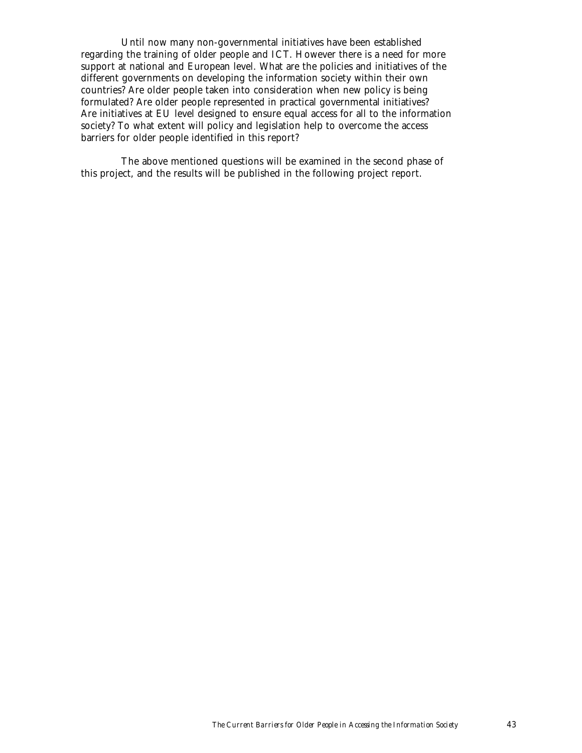Until now many non-governmental initiatives have been established regarding the training of older people and ICT. However there is a need for more support at national and European level. What are the policies and initiatives of the different governments on developing the information society within their own countries? Are older people taken into consideration when new policy is being formulated? Are older people represented in practical governmental initiatives? Are initiatives at EU level designed to ensure equal access for all to the information society? To what extent will policy and legislation help to overcome the access barriers for older people identified in this report?

The above mentioned questions will be examined in the second phase of this project, and the results will be published in the following project report.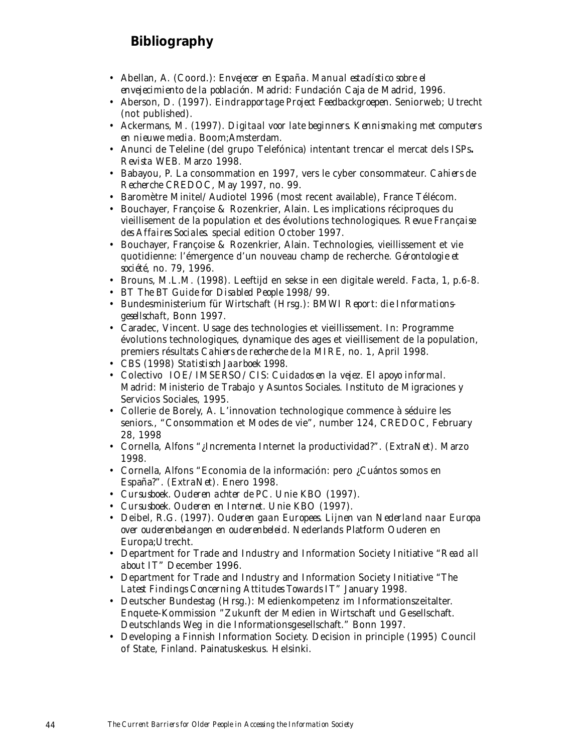# **Bibliography**

- Abellan, A. (Coord.): *Envejecer en España. Manual estadístico sobre el envejecimiento de la población*. Madrid: Fundación Caja de Madrid, 1996.
- Aberson, D. (1997). *Eindrapportage Project Feedbackgroepen.* Seniorweb; Utrecht (not published).
- Ackermans, M. (1997). *Digitaal voor late beginners. Kennismaking met computers en nieuwe media.* Boom;Amsterdam.
- Anunci de Teleline (del grupo Telefónica) intentant trencar el mercat dels ISPs**.** *Revista WEB.* Marzo 1998.
- Babayou, P. La consommation en 1997, vers le cyber consommateur. *Cahiers de Recherche* CREDOC, May 1997, no. 99.
- Baromètre Minitel/Audiotel 1996 (most recent available), France Télécom.
- Bouchayer, Françoise & Rozenkrier, Alain. Les implications réciproques du vieillisement de la population et des évolutions technologiques. *Revue Française des Affaires Sociales*. special edition October 1997.
- Bouchayer, Françoise & Rozenkrier, Alain. Technologies, vieillissement et vie quotidienne: l'émergence d'un nouveau champ de recherche. *Gérontologie et société*, no. 79, 1996.
- Brouns, M.L.M. (1998). Leeftijd en sekse in een digitale wereld. *Facta, 1,* p.6-8.
- BT *The BT Guide for Disabled People* 1998/99.
- Bundesministerium für Wirtschaft (Hrsg.): *BMWI Report: die Informationsgesellschaft*, Bonn 1997.
- Caradec, Vincent. Usage des technologies et vieillissement. In: Programme évolutions technologiques, dynamique des ages et vieillisement de la population, premiers résultats *Cahiers de recherche de la MIRE*, no. 1, April 1998.
- CBS (1998) *Statistisch Jaarboek 1998.*
- Colectivo IOE/IMSERSO/CIS: *Cuidados en la vejez. El apoyo informal.* Madrid: Ministerio de Trabajo y Asuntos Sociales. Instituto de Migraciones y Servicios Sociales, 1995.
- Collerie de Borely, A. L'innovation technologique commence à séduire les seniors., "Consommation et Modes de vie", number 124, CREDOC, February 28, 1998
- Cornella, Alfons "¿Incrementa Internet la productividad?". *(ExtraNet).* Marzo 1998.
- Cornella, Alfons "Economia de la información: pero ¿Cuántos somos en España?". *(ExtraNet).* Enero 1998.
- *Cursusboek. Ouderen achter de PC.* Unie KBO (1997).
- *Cursusboek. Ouderen en Internet.* Unie KBO (1997).
- Deibel, R.G. (1997). *Ouderen gaan Europees. Lijnen van Nederland naar Europa over ouderenbelangen en ouderenbeleid.* Nederlands Platform Ouderen en Europa;Utrecht.
- Department for Trade and Industry and Information Society Initiative "*Read all about IT*" December 1996.
- Department for Trade and Industry and Information Society Initiative "*The Latest Findings Concerning Attitudes Towards IT*" January 1998.
- Deutscher Bundestag (Hrsg.): Medienkompetenz im Informationszeitalter. Enquete-Kommission "Zukunft der Medien in Wirtschaft und Gesellschaft. Deutschlands Weg in die Informationsgesellschaft." Bonn 1997.
- Developing a Finnish Information Society. Decision in principle (1995) Council of State, Finland. Painatuskeskus. Helsinki.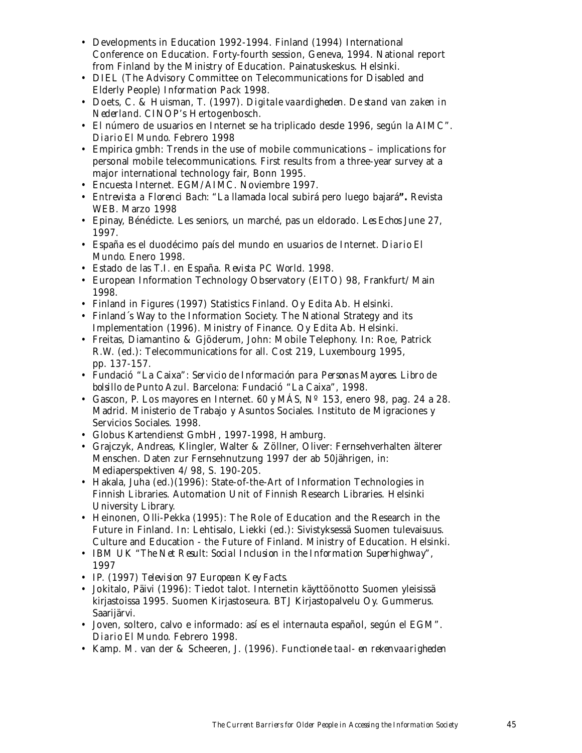- Developments in Education 1992-1994. Finland (1994) International Conference on Education. Forty-fourth session, Geneva, 1994. National report from Finland by the Ministry of Education. Painatuskeskus. Helsinki.
- DIEL (The Advisory Committee on Telecommunications for Disabled and Elderly People) *Information Pack* 1998.
- Doets, C. & Huisman, T. (1997). *Digitale vaardigheden. De stand van zaken in Nederland.* CINOP's Hertogenbosch.
- El número de usuarios en Internet se ha triplicado desde 1996, según la AIMC". *Diario El Mundo.* Febrero 1998
- Empirica gmbh: Trends in the use of mobile communications implications for personal mobile telecommunications. First results from a three-year survey at a major international technology fair, Bonn 1995.
- Encuesta Internet*. EGM/AIMC*. Noviembre 1997.
- *Entrevista a Florenci Bach:* "La llamada local subirá pero luego bajará**".** Revista WEB. Marzo 1998
- Epinay, Bénédicte. Les seniors, un marché, pas un eldorado. *Les Echos* June 27, 1997.
- España es el duodécimo país del mundo en usuarios de Internet. *Diario El Mundo.* Enero 1998.
- Estado de las T.I. en España. *Revista PC World.* 1998.
- European Information Technology Observatory (EITO) 98, Frankfurt/Main 1998.
- Finland in Figures (1997) Statistics Finland. Oy Edita Ab. Helsinki.
- Finland´s Way to the Information Society. The National Strategy and its Implementation (1996). Ministry of Finance. Oy Edita Ab. Helsinki.
- Freitas, Diamantino & Gjöderum, John: Mobile Telephony. In: Roe, Patrick R.W. (ed.): Telecommunications for all. Cost 219, Luxembourg 1995, pp. 137-157.
- Fundació "La Caixa": *Servicio de Información para Personas Mayores. Libro de bolsillo de Punto Azul.* Barcelona: Fundació "La Caixa", 1998.
- Gascon, P. Los mayores en Internet.  $60 \text{ y } M\acute{A}S$ , N° 153, enero 98, pag. 24 a 28. Madrid. Ministerio de Trabajo y Asuntos Sociales. Instituto de Migraciones y Servicios Sociales. 1998.
- Globus Kartendienst GmbH, 1997-1998, Hamburg.
- Grajczyk, Andreas, Klingler, Walter & Zöllner, Oliver: Fernsehverhalten älterer Menschen. Daten zur Fernsehnutzung 1997 der ab 50jährigen, in: Mediaperspektiven 4/98, S. 190-205.
- Hakala, Juha (ed.)(1996): State-of-the-Art of Information Technologies in Finnish Libraries. Automation Unit of Finnish Research Libraries. Helsinki University Library.
- Heinonen, Olli-Pekka (1995): The Role of Education and the Research in the Future in Finland. In: Lehtisalo, Liekki (ed.): Sivistyksessä Suomen tulevaisuus. Culture and Education - the Future of Finland. Ministry of Education. Helsinki.
- IBM UK "*The Net Result: Social Inclusion in the Information Superhighway*", 1997
- IP. (1997) *Television 97 European Key Facts.*
- Jokitalo, Päivi (1996): Tiedot talot. Internetin käyttöönotto Suomen yleisissä kirjastoissa 1995. Suomen Kirjastoseura. BTJ Kirjastopalvelu Oy. Gummerus. Saarijärvi.
- Joven, soltero, calvo e informado: así es el internauta español, según el EGM". *Diario El Mundo.* Febrero 1998.
- Kamp. M. van der & Scheeren, J. (1996). *Functionele taal- en rekenvaarigheden*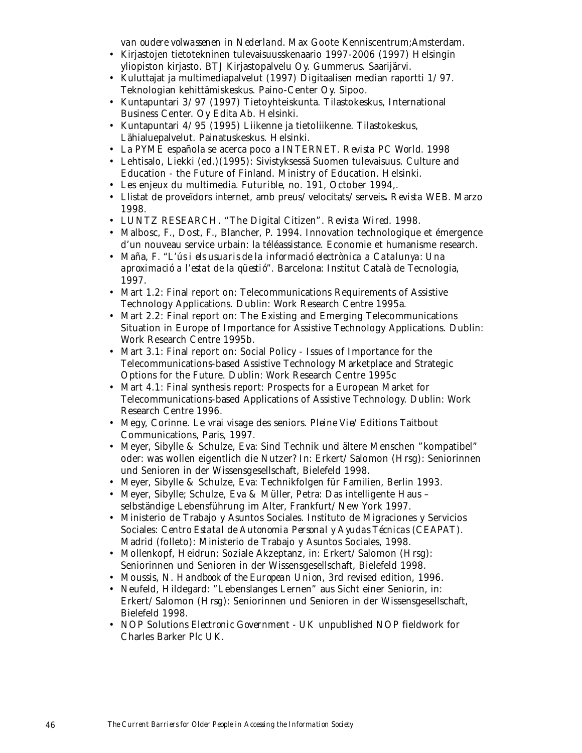*van oudere volwassenen in Nederland.* Max Goote Kenniscentrum;Amsterdam.

- Kirjastojen tietotekninen tulevaisuusskenaario 1997-2006 (1997) Helsingin yliopiston kirjasto. BTJ Kirjastopalvelu Oy. Gummerus. Saarijärvi.
- Kuluttajat ja multimediapalvelut (1997) Digitaalisen median raportti 1/97. Teknologian kehittämiskeskus. Paino-Center Oy. Sipoo.
- Kuntapuntari 3/97 (1997) Tietoyhteiskunta. Tilastokeskus, International Business Center. Oy Edita Ab. Helsinki.
- Kuntapuntari 4/95 (1995) Liikenne ja tietoliikenne. Tilastokeskus, Lähialuepalvelut. Painatuskeskus. Helsinki.
- La PYME española se acerca poco a INTERNET. *Revista PC World.* 1998
- Lehtisalo, Liekki (ed.)(1995): Sivistyksessä Suomen tulevaisuus. Culture and Education - the Future of Finland. Ministry of Education. Helsinki.
- Les enjeux du multimedia. *Futurible*, no. 191, October 1994,.
- Llistat de proveïdors internet, amb preus/velocitats/serveis**.** *Revista WEB.* Marzo 1998.
- LUNTZ RESEARCH. "The Digital Citizen". *Revista Wired*. 1998.
- Malbosc, F., Dost, F., Blancher, P. 1994. Innovation technologique et émergence d'un nouveau service urbain: la téléassistance. Economie et humanisme research.
- Maña, F*. "L'ús i els usuaris de la informació electrònica a Catalunya: Una aproximació a l'estat de la qüestió".* Barcelona: Institut Català de Tecnologia, 1997.
- Mart 1.2: Final report on: Telecommunications Requirements of Assistive Technology Applications. Dublin: Work Research Centre 1995a.
- Mart 2.2: Final report on: The Existing and Emerging Telecommunications Situation in Europe of Importance for Assistive Technology Applications. Dublin: Work Research Centre 1995b.
- Mart 3.1: Final report on: Social Policy Issues of Importance for the Telecommunications-based Assistive Technology Marketplace and Strategic Options for the Future. Dublin: Work Research Centre 1995c
- Mart 4.1: Final synthesis report: Prospects for a European Market for Telecommunications-based Applications of Assistive Technology. Dublin: Work Research Centre 1996.
- Megy, Corinne. Le vrai visage des seniors. *Pleine Vie*/Editions Taitbout Communications, Paris, 1997.
- Meyer, Sibylle & Schulze, Eva: Sind Technik und ältere Menschen "kompatibel" oder: was wollen eigentlich die Nutzer? In: Erkert/Salomon (Hrsg): Seniorinnen und Senioren in der Wissensgesellschaft, Bielefeld 1998.
- Meyer, Sibylle & Schulze, Eva: Technikfolgen für Familien, Berlin 1993.
- Meyer, Sibylle; Schulze, Eva & Müller, Petra: Das intelligente Haus selbständige Lebensführung im Alter, Frankfurt/New York 1997.
- Ministerio de Trabajo y Asuntos Sociales. Instituto de Migraciones y Servicios Sociales: *Centro Estatal de Autonomia Personal y Ayudas Técnicas* (CEAPAT). Madrid (folleto): Ministerio de Trabajo y Asuntos Sociales, 1998.
- Mollenkopf, Heidrun: Soziale Akzeptanz, in: Erkert/Salomon (Hrsg): Seniorinnen und Senioren in der Wissensgesellschaft, Bielefeld 1998.
- Moussis, N. *Handbook of the European Union*, 3rd revised edition, 1996.
- Neufeld, Hildegard: "Lebenslanges Lernen" aus Sicht einer Seniorin, in: Erkert/Salomon (Hrsg): Seniorinnen und Senioren in der Wissensgesellschaft, Bielefeld 1998.
- NOP Solutions *Electronic Government UK* unpublished NOP fieldwork for Charles Barker Plc UK.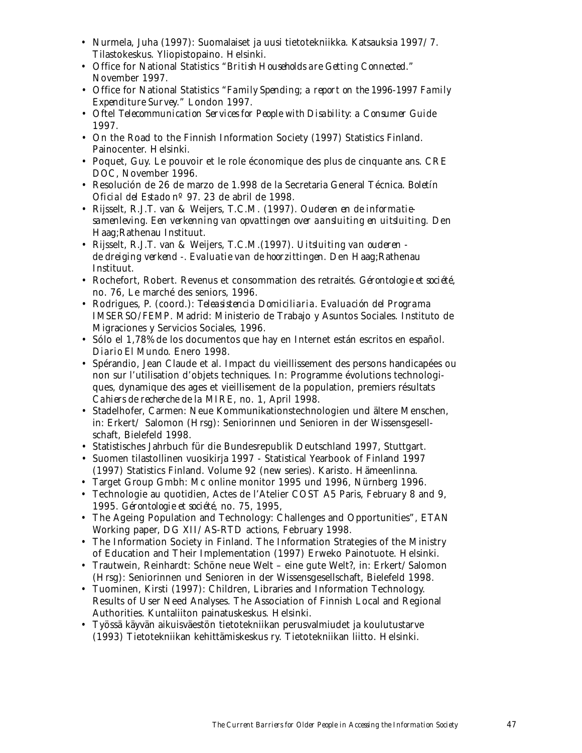- Nurmela, Juha (1997): Suomalaiset ja uusi tietotekniikka. Katsauksia 1997/7. Tilastokeskus. Yliopistopaino. Helsinki.
- Office for National Statistics "*British Households are Getting Connected*." November 1997.
- Office for National Statistics "*Family Spending; a report on the 1996-1997 Family Expenditure Survey*." London 1997.
- Oftel *Telecommunication Services for People with Disability: a Consumer Guide* 1997.
- On the Road to the Finnish Information Society (1997) Statistics Finland. Painocenter. Helsinki.
- Poquet, Guy. Le pouvoir et le role économique des plus de cinquante ans. *CRE DOC*, November 1996.
- Resolución de 26 de marzo de 1.998 de la Secretaria General Técnica. *Boletín Oficial del Estado nº 97*. 23 de abril de 1998.
- Rijsselt, R.J.T. van & Weijers, T.C.M. (1997). *Ouderen en de informatiesamenleving. Een verkenning van opvattingen over aansluiting en uitsluiting.* Den Haag;Rathenau Instituut.
- Rijsselt, R.J.T. van & Weijers, T.C.M.(1997). *Uitsluiting van ouderen de dreiging verkend -. Evaluatie van de hoorzittingen.* Den Haag;Rathenau Instituut.
- Rochefort, Robert. Revenus et consommation des retraités. *Gérontologie et société*, no. 76, Le marché des seniors, 1996.
- Rodrigues, P. (coord.): *Teleasistencia Domiciliaria. Evaluación del Programa IMSERSO/FEMP*. Madrid: Ministerio de Trabajo y Asuntos Sociales. Instituto de Migraciones y Servicios Sociales, 1996.
- Sólo el 1,78% de los documentos que hay en Internet están escritos en español. *Diario El Mundo*. Enero 1998.
- Spérandio, Jean Claude et al. Impact du vieillissement des persons handicapées ou non sur l'utilisation d'objets techniques. In: Programme évolutions technologiques, dynamique des ages et vieillisement de la population, premiers résultats *Cahiers de recherche de la MIRE*, no. 1, April 1998.
- Stadelhofer, Carmen: Neue Kommunikationstechnologien und ältere Menschen, in: Erkert/ Salomon (Hrsg): Seniorinnen und Senioren in der Wissensgesellschaft, Bielefeld 1998.
- Statistisches Jahrbuch für die Bundesrepublik Deutschland 1997, Stuttgart.
- Suomen tilastollinen vuosikirja 1997 Statistical Yearbook of Finland 1997 (1997) Statistics Finland. Volume 92 (new series). Karisto. Hämeenlinna.
- Target Group Gmbh: Mc online monitor 1995 und 1996, Nürnberg 1996.
- Technologie au quotidien, Actes de l'Atelier COST A5 Paris, February 8 and 9, 1995. *Gérontologie et société,* no. 75, 1995,
- The Ageing Population and Technology: Challenges and Opportunities", ETAN Working paper, DG XII/AS-RTD actions, February 1998.
- The Information Society in Finland. The Information Strategies of the Ministry of Education and Their Implementation (1997) Erweko Painotuote. Helsinki.
- Trautwein, Reinhardt: Schöne neue Welt eine gute Welt?, in: Erkert/Salomon (Hrsg): Seniorinnen und Senioren in der Wissensgesellschaft, Bielefeld 1998.
- Tuominen, Kirsti (1997): Children, Libraries and Information Technology. Results of User Need Analyses. The Association of Finnish Local and Regional Authorities. Kuntaliiton painatuskeskus. Helsinki.
- Työssä käyvän aikuisväestön tietotekniikan perusvalmiudet ja koulutustarve (1993) Tietotekniikan kehittämiskeskus ry. Tietotekniikan liitto. Helsinki.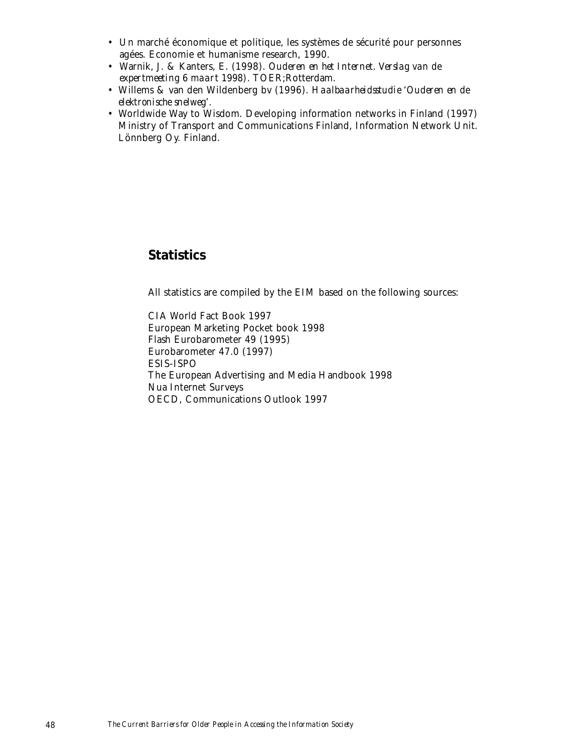- Un marché économique et politique, les systèmes de sécurité pour personnes agées. Economie et humanisme research, 1990.
- Warnik, J. & Kanters, E. (1998). *Ouderen en het Internet. Verslag van de expertmeeting 6 maart 1998).* TOER;Rotterdam.
- Willems & van den Wildenberg bv (1996). *Haalbaarheidsstudie 'Ouderen en de elektronische snelweg'.*
- Worldwide Way to Wisdom. Developing information networks in Finland (1997) Ministry of Transport and Communications Finland, Information Network Unit. Lönnberg Oy. Finland.

# **Statistics**

All statistics are compiled by the EIM based on the following sources:

CIA World Fact Book 1997 European Marketing Pocket book 1998 Flash Eurobarometer 49 (1995) Eurobarometer 47.0 (1997) ESIS-ISPO The European Advertising and Media Handbook 1998 Nua Internet Surveys OECD, Communications Outlook 1997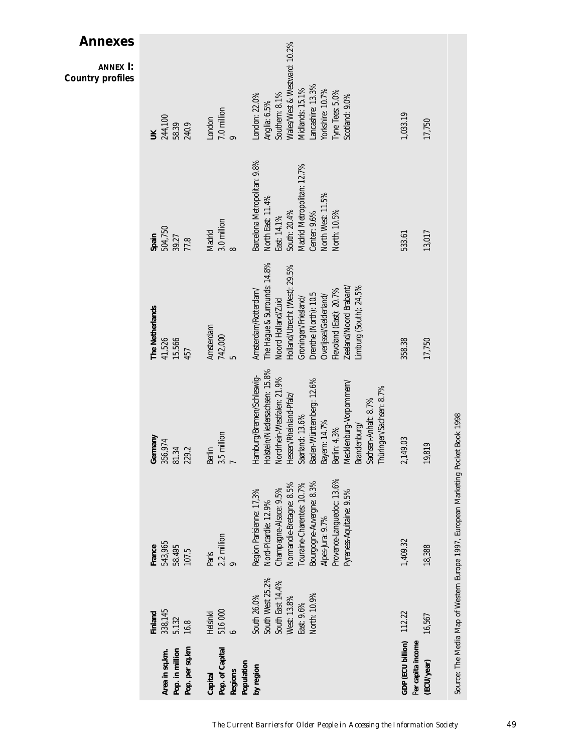|                                                            |                                                                                                  |                                                                                                                                                                                                                                              |                                                                                                                                                                                                                                                                                                             |                                                                                                                                                                                                                                                                       |                                                                                                                                                                     | <b>Annexes</b><br>ANNEX I:<br><b>Country profiles</b>                                                                                                                            |
|------------------------------------------------------------|--------------------------------------------------------------------------------------------------|----------------------------------------------------------------------------------------------------------------------------------------------------------------------------------------------------------------------------------------------|-------------------------------------------------------------------------------------------------------------------------------------------------------------------------------------------------------------------------------------------------------------------------------------------------------------|-----------------------------------------------------------------------------------------------------------------------------------------------------------------------------------------------------------------------------------------------------------------------|---------------------------------------------------------------------------------------------------------------------------------------------------------------------|----------------------------------------------------------------------------------------------------------------------------------------------------------------------------------|
| Pop. per sq.km<br>Pop. in million<br>Area in sq.km.        | 338,145<br>Finland<br>5.132<br>16.8                                                              | 543,965<br>France<br>58.495<br>107.5                                                                                                                                                                                                         | Germany<br>356,974<br>229.2<br>81.34                                                                                                                                                                                                                                                                        | The Netherlands<br>15.566<br>41,526<br>457                                                                                                                                                                                                                            | 504,750<br>Spain<br>39.27<br>77.8                                                                                                                                   | 244,100<br>58.39<br>240.9<br>$\leq$                                                                                                                                              |
| Pop. of Capital<br>Population<br><b>Regions</b><br>Capital | 516000<br>Helsinki                                                                               | $\frac{2.2}{9}$ million<br>Paris                                                                                                                                                                                                             | 3.5 million<br>Berlin<br>$\overline{ }$                                                                                                                                                                                                                                                                     | Amsterdam<br>742,000<br>ഹ                                                                                                                                                                                                                                             | 3.0 million<br>Madrid<br>$\infty$                                                                                                                                   | 7.0 million<br>London                                                                                                                                                            |
| by region                                                  | South West 25.2%<br>South East 14.4%<br>North: 10.9%<br>South 26.0%<br>West: 13.8%<br>East: 9.6% | Provence-Languedoc: 13.6%<br>Bourgogne-Auvergne: 8.3%<br>Normandie-Bretagne: 8.5%<br>Touraine-Charentes: 10.7%<br>Champagne-Alsace: 9.5%<br>Region Parisienne: 17,3%<br>Pyreness-Aquitaine: 9.5%<br>Nord-Picardie: 12.9%<br>Alpes-Jura: 9.7% | lolstein/Niedersachsen: 15.8%<br>lamburg/Bremen/Schleswig-<br>Nordrhein-Westfalen: 21.9%<br>Saarland: 13.6%<br>Baden-Württemberg: 12.6%<br>Mecklenburg-Vorpommern/<br>Thüringen/Sachsen: 8.7%<br>lessen/Rheinland-Pfalz/<br>Sachsen-Anhalt: 8.7%<br>Bayern: 14.7%<br>Brandenburg/<br>Berlin: 4.3%<br>ᆍ<br>ᆍ | The Hague & Surrounds: 14.8%<br>Holland/Utrecht (West): 29.5%<br>Zeeland/Noord Brabant/<br>Limburg (South): 24.5%<br>Flevoland (East): 20.7%<br>Amsterdam/Rotterdam/<br>Drenthe (North): 10.5<br>Overijssel/Gelderland/<br>Groningen/Friesland/<br>Noord Holland/Zuid | Barcelona Metropolitan: 9.8%<br>Madrid Metropolitan: 12.7%<br>North West: 11.5%<br>North East: 11.4%<br>South: 20.4%<br>North: 10.5%<br>Center: 9.6%<br>East: 14.1% | Wales/West & Westward: 10.2%<br>Lancashire: 13.3%<br>Midlands: 15.1%<br>Yorkshire: 10.7%<br>Tyne Tees: 5.0%<br>Southern: 8.1%<br>London: 22.0%<br>Scotland: 9.0%<br>Anglia: 6.5% |
| GDP (ECU billion) 112.22<br>Per capita income              |                                                                                                  | 1,409.32                                                                                                                                                                                                                                     | 2,149.03                                                                                                                                                                                                                                                                                                    | 358.38                                                                                                                                                                                                                                                                | 533.61                                                                                                                                                              | 1,033.19                                                                                                                                                                         |
| (ECU/year)                                                 | 16,567                                                                                           | 18,388                                                                                                                                                                                                                                       | 9,819                                                                                                                                                                                                                                                                                                       | 17,750                                                                                                                                                                                                                                                                | 13,017                                                                                                                                                              | 17,750                                                                                                                                                                           |
|                                                            |                                                                                                  | Source: The Media Map of Western Europe 1997, European Marketing Pocket Book 1998                                                                                                                                                            |                                                                                                                                                                                                                                                                                                             |                                                                                                                                                                                                                                                                       |                                                                                                                                                                     |                                                                                                                                                                                  |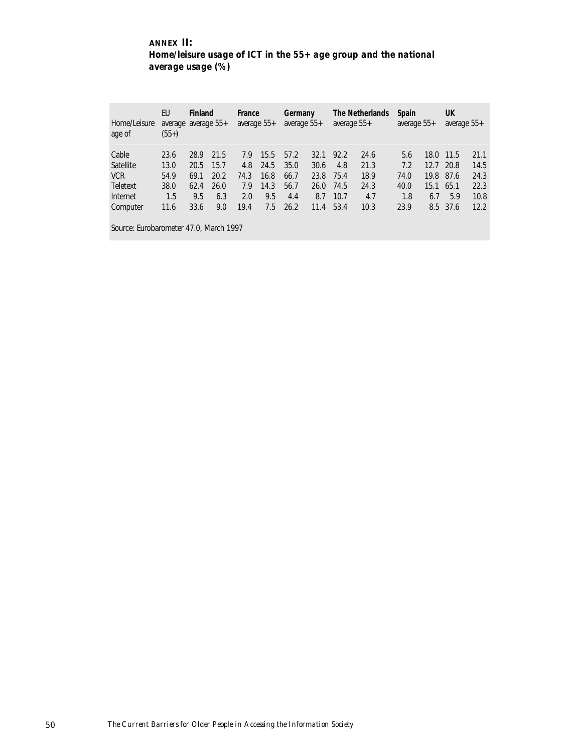# **ANNEX II:** *Home/leisure usage of ICT in the 55+ age group and the national average usage (%)*

| Home/Leisure<br>age of | EU<br>average average 55+<br>$(55+)$ | Finland |      | France<br>average 55+ |      | Germany<br>average 55+ |      | average $55+$ | The Netherlands | <b>Spain</b><br>average 55+ |      | UK<br>average 55+ |      |
|------------------------|--------------------------------------|---------|------|-----------------------|------|------------------------|------|---------------|-----------------|-----------------------------|------|-------------------|------|
| Cable                  | 23.6                                 | 28.9    | 21.5 | 7.9                   | 15.5 | 57.2                   | 32.1 | 92.2          | 24.6            | 5.6                         | 18.0 | 11.5              | 21.1 |
| Satellite              | 13.0                                 | 20.5    | 15.7 | 4.8                   | 24.5 | 35.0                   | 30.6 | 4.8           | 21.3            | 7.2                         | 12.7 | 20.8              | 14.5 |
| <b>VCR</b>             | 54.9                                 | 69.1    | 20.2 | 74.3                  | 16.8 | 66.7                   | 23.8 | 75.4          | 18.9            | 74.0                        | 19.8 | 87.6              | 24.3 |
| Teletext               | 38.0                                 | 62.4    | 26.0 | 7.9                   | 14.3 | 56.7                   | 26.0 | 74.5          | 24.3            | 40.0                        | 15.1 | 65.1              | 22.3 |
| Internet               | 1.5                                  | 9.5     | 6.3  | 2.0                   | 9.5  | 4.4                    | 8.7  | 10.7          | 4.7             | 1.8                         | 6.7  | 5.9               | 10.8 |
| Computer               | 11.6                                 | 33.6    | 9.0  | 19.4                  | 7.5  | 26.2                   | 11.4 | 53.4          | 10.3            | 23.9                        | 8.5  | 37.6              | 12.2 |

Source: Eurobarometer 47.0, March 1997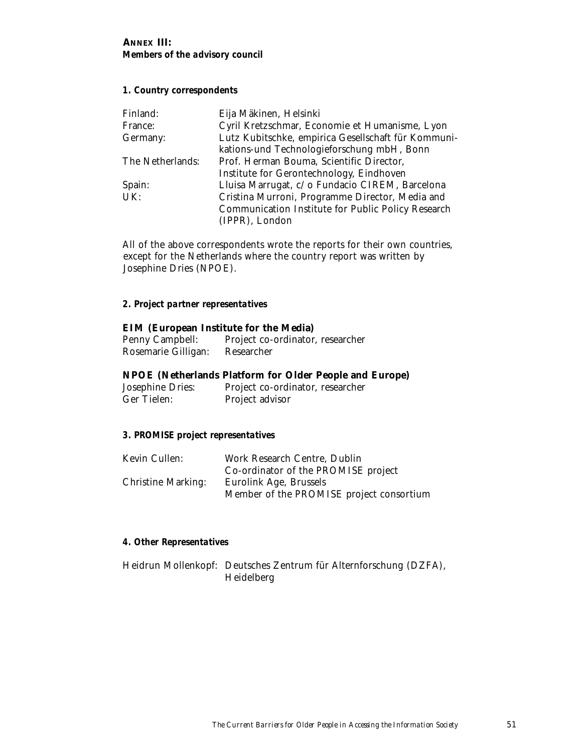### **ANNEX III:**  *Members of the advisory council*

# *1. Country correspondents*

| Finland:         | Eija Mäkinen, Helsinki                              |
|------------------|-----------------------------------------------------|
| France:          | Cyril Kretzschmar, Economie et Humanisme, Lyon      |
| Germany:         | Lutz Kubitschke, empirica Gesellschaft für Kommuni- |
|                  | kations-und Technologieforschung mbH, Bonn          |
| The Netherlands: | Prof. Herman Bouma, Scientific Director,            |
|                  | Institute for Gerontechnology, Eindhoven            |
| Spain:           | Lluisa Marrugat, c/o Fundacio CIREM, Barcelona      |
| UK:              | Cristina Murroni, Programme Director, Media and     |
|                  | Communication Institute for Public Policy Research  |
|                  | (IPPR), London                                      |

All of the above correspondents wrote the reports for their own countries, except for the Netherlands where the country report was written by Josephine Dries (NPOE).

## *2. Project partner representatives*

## **EIM (European Institute for the Media)**

| Penny Campbell:     | Project co-ordinator, researcher |
|---------------------|----------------------------------|
| Rosemarie Gilligan: | Researcher                       |

#### **NPOE (Netherlands Platform for Older People and Europe)**

Josephine Dries: Project co-ordinator, researcher Project advisor

### *3. PROMISE project representatives*

| Kevin Cullen:             | Work Research Centre, Dublin             |
|---------------------------|------------------------------------------|
|                           | Co-ordinator of the PROMISE project      |
| <b>Christine Marking:</b> | Eurolink Age, Brussels                   |
|                           | Member of the PROMISE project consortium |

#### *4. Other Representatives*

Heidrun Mollenkopf: Deutsches Zentrum für Alternforschung (DZFA), Heidelberg